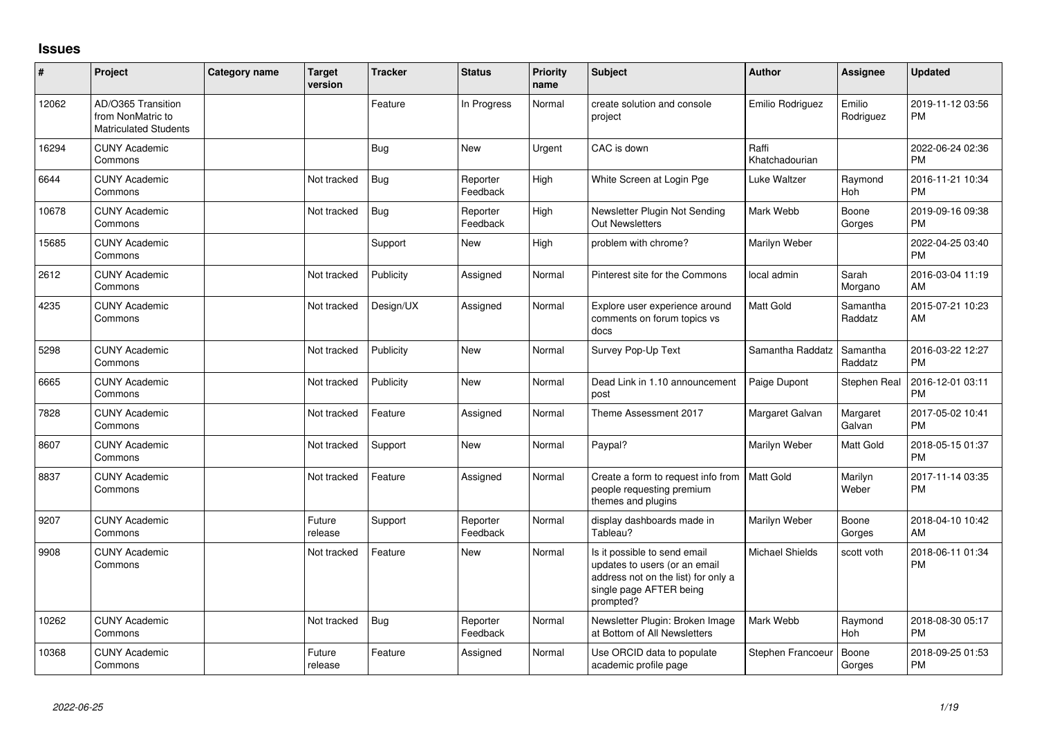## **Issues**

| #     | Project                                                                 | Category name | <b>Target</b><br>version | <b>Tracker</b> | <b>Status</b>        | <b>Priority</b><br>name | <b>Subject</b>                                                                                                                               | <b>Author</b>           | Assignee              | <b>Updated</b>                |
|-------|-------------------------------------------------------------------------|---------------|--------------------------|----------------|----------------------|-------------------------|----------------------------------------------------------------------------------------------------------------------------------------------|-------------------------|-----------------------|-------------------------------|
| 12062 | AD/O365 Transition<br>from NonMatric to<br><b>Matriculated Students</b> |               |                          | Feature        | In Progress          | Normal                  | create solution and console<br>project                                                                                                       | Emilio Rodriguez        | Emilio<br>Rodriguez   | 2019-11-12 03:56<br><b>PM</b> |
| 16294 | <b>CUNY Academic</b><br>Commons                                         |               |                          | Bug            | New                  | Urgent                  | CAC is down                                                                                                                                  | Raffi<br>Khatchadourian |                       | 2022-06-24 02:36<br>PM        |
| 6644  | <b>CUNY Academic</b><br>Commons                                         |               | Not tracked              | <b>Bug</b>     | Reporter<br>Feedback | High                    | White Screen at Login Pge                                                                                                                    | Luke Waltzer            | Raymond<br><b>Hoh</b> | 2016-11-21 10:34<br><b>PM</b> |
| 10678 | <b>CUNY Academic</b><br>Commons                                         |               | Not tracked              | Bug            | Reporter<br>Feedback | High                    | Newsletter Plugin Not Sending<br><b>Out Newsletters</b>                                                                                      | Mark Webb               | Boone<br>Gorges       | 2019-09-16 09:38<br><b>PM</b> |
| 15685 | <b>CUNY Academic</b><br>Commons                                         |               |                          | Support        | New                  | High                    | problem with chrome?                                                                                                                         | Marilyn Weber           |                       | 2022-04-25 03:40<br><b>PM</b> |
| 2612  | <b>CUNY Academic</b><br>Commons                                         |               | Not tracked              | Publicity      | Assigned             | Normal                  | Pinterest site for the Commons                                                                                                               | local admin             | Sarah<br>Morgano      | 2016-03-04 11:19<br>AM        |
| 4235  | <b>CUNY Academic</b><br>Commons                                         |               | Not tracked              | Design/UX      | Assigned             | Normal                  | Explore user experience around<br>comments on forum topics vs<br>docs                                                                        | Matt Gold               | Samantha<br>Raddatz   | 2015-07-21 10:23<br>AM        |
| 5298  | <b>CUNY Academic</b><br>Commons                                         |               | Not tracked              | Publicity      | New                  | Normal                  | Survey Pop-Up Text                                                                                                                           | Samantha Raddatz        | Samantha<br>Raddatz   | 2016-03-22 12:27<br>PM        |
| 6665  | <b>CUNY Academic</b><br>Commons                                         |               | Not tracked              | Publicity      | <b>New</b>           | Normal                  | Dead Link in 1.10 announcement<br>post                                                                                                       | Paige Dupont            | Stephen Real          | 2016-12-01 03:11<br><b>PM</b> |
| 7828  | <b>CUNY Academic</b><br>Commons                                         |               | Not tracked              | Feature        | Assigned             | Normal                  | Theme Assessment 2017                                                                                                                        | Margaret Galvan         | Margaret<br>Galvan    | 2017-05-02 10:41<br><b>PM</b> |
| 8607  | <b>CUNY Academic</b><br>Commons                                         |               | Not tracked              | Support        | <b>New</b>           | Normal                  | Paypal?                                                                                                                                      | Marilyn Weber           | Matt Gold             | 2018-05-15 01:37<br><b>PM</b> |
| 8837  | <b>CUNY Academic</b><br>Commons                                         |               | Not tracked              | Feature        | Assigned             | Normal                  | Create a form to request info from<br>people requesting premium<br>themes and plugins                                                        | Matt Gold               | Marilyn<br>Weber      | 2017-11-14 03:35<br>PM        |
| 9207  | <b>CUNY Academic</b><br>Commons                                         |               | Future<br>release        | Support        | Reporter<br>Feedback | Normal                  | display dashboards made in<br>Tableau?                                                                                                       | Marilyn Weber           | Boone<br>Gorges       | 2018-04-10 10:42<br>AM        |
| 9908  | <b>CUNY Academic</b><br>Commons                                         |               | Not tracked              | Feature        | New                  | Normal                  | Is it possible to send email<br>updates to users (or an email<br>address not on the list) for only a<br>single page AFTER being<br>prompted? | <b>Michael Shields</b>  | scott voth            | 2018-06-11 01:34<br><b>PM</b> |
| 10262 | <b>CUNY Academic</b><br>Commons                                         |               | Not tracked              | Bug            | Reporter<br>Feedback | Normal                  | Newsletter Plugin: Broken Image<br>at Bottom of All Newsletters                                                                              | Mark Webb               | Raymond<br>Hoh        | 2018-08-30 05:17<br>PM        |
| 10368 | <b>CUNY Academic</b><br>Commons                                         |               | Future<br>release        | Feature        | Assigned             | Normal                  | Use ORCID data to populate<br>academic profile page                                                                                          | Stephen Francoeur       | Boone<br>Gorges       | 2018-09-25 01:53<br><b>PM</b> |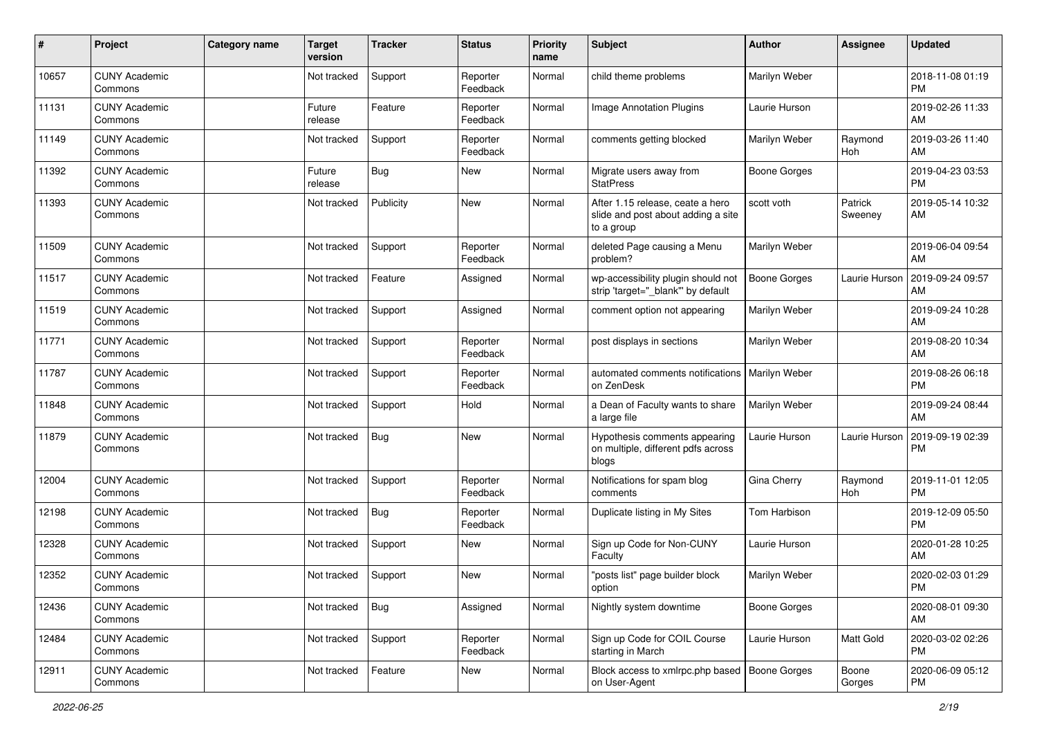| #     | Project                         | Category name | <b>Target</b><br>version | <b>Tracker</b> | <b>Status</b>        | <b>Priority</b><br>name | Subject                                                                              | <b>Author</b>       | <b>Assignee</b>       | <b>Updated</b>                |
|-------|---------------------------------|---------------|--------------------------|----------------|----------------------|-------------------------|--------------------------------------------------------------------------------------|---------------------|-----------------------|-------------------------------|
| 10657 | <b>CUNY Academic</b><br>Commons |               | Not tracked              | Support        | Reporter<br>Feedback | Normal                  | child theme problems                                                                 | Marilyn Weber       |                       | 2018-11-08 01:19<br>PM        |
| 11131 | <b>CUNY Academic</b><br>Commons |               | Future<br>release        | Feature        | Reporter<br>Feedback | Normal                  | Image Annotation Plugins                                                             | Laurie Hurson       |                       | 2019-02-26 11:33<br>AM        |
| 11149 | <b>CUNY Academic</b><br>Commons |               | Not tracked              | Support        | Reporter<br>Feedback | Normal                  | comments getting blocked                                                             | Marilyn Weber       | Raymond<br>Hoh        | 2019-03-26 11:40<br>AM        |
| 11392 | <b>CUNY Academic</b><br>Commons |               | Future<br>release        | <b>Bug</b>     | New                  | Normal                  | Migrate users away from<br><b>StatPress</b>                                          | <b>Boone Gorges</b> |                       | 2019-04-23 03:53<br><b>PM</b> |
| 11393 | <b>CUNY Academic</b><br>Commons |               | Not tracked              | Publicity      | New                  | Normal                  | After 1.15 release, ceate a hero<br>slide and post about adding a site<br>to a group | scott voth          | Patrick<br>Sweeney    | 2019-05-14 10:32<br>AM        |
| 11509 | <b>CUNY Academic</b><br>Commons |               | Not tracked              | Support        | Reporter<br>Feedback | Normal                  | deleted Page causing a Menu<br>problem?                                              | Marilyn Weber       |                       | 2019-06-04 09:54<br>AM        |
| 11517 | <b>CUNY Academic</b><br>Commons |               | Not tracked              | Feature        | Assigned             | Normal                  | wp-accessibility plugin should not<br>strip 'target="_blank"' by default             | <b>Boone Gorges</b> | Laurie Hurson         | 2019-09-24 09:57<br>AM        |
| 11519 | <b>CUNY Academic</b><br>Commons |               | Not tracked              | Support        | Assigned             | Normal                  | comment option not appearing                                                         | Marilyn Weber       |                       | 2019-09-24 10:28<br>AM        |
| 11771 | <b>CUNY Academic</b><br>Commons |               | Not tracked              | Support        | Reporter<br>Feedback | Normal                  | post displays in sections                                                            | Marilyn Weber       |                       | 2019-08-20 10:34<br>AM        |
| 11787 | <b>CUNY Academic</b><br>Commons |               | Not tracked              | Support        | Reporter<br>Feedback | Normal                  | automated comments notifications<br>on ZenDesk                                       | Marilyn Weber       |                       | 2019-08-26 06:18<br>PM        |
| 11848 | <b>CUNY Academic</b><br>Commons |               | Not tracked              | Support        | Hold                 | Normal                  | a Dean of Faculty wants to share<br>a large file                                     | Marilyn Weber       |                       | 2019-09-24 08:44<br>AM        |
| 11879 | <b>CUNY Academic</b><br>Commons |               | Not tracked              | Bug            | <b>New</b>           | Normal                  | Hypothesis comments appearing<br>on multiple, different pdfs across<br>blogs         | Laurie Hurson       | Laurie Hurson         | 2019-09-19 02:39<br>РM        |
| 12004 | <b>CUNY Academic</b><br>Commons |               | Not tracked              | Support        | Reporter<br>Feedback | Normal                  | Notifications for spam blog<br>comments                                              | Gina Cherry         | Raymond<br><b>Hoh</b> | 2019-11-01 12:05<br>PM        |
| 12198 | <b>CUNY Academic</b><br>Commons |               | Not tracked              | <b>Bug</b>     | Reporter<br>Feedback | Normal                  | Duplicate listing in My Sites                                                        | Tom Harbison        |                       | 2019-12-09 05:50<br><b>PM</b> |
| 12328 | <b>CUNY Academic</b><br>Commons |               | Not tracked              | Support        | New                  | Normal                  | Sign up Code for Non-CUNY<br>Faculty                                                 | Laurie Hurson       |                       | 2020-01-28 10:25<br>AM        |
| 12352 | CUNY Academic<br>Commons        |               | Not tracked              | Support        | New                  | Normal                  | "posts list" page builder block<br>option                                            | Marilyn Weber       |                       | 2020-02-03 01:29<br>PM        |
| 12436 | <b>CUNY Academic</b><br>Commons |               | Not tracked              | Bug            | Assigned             | Normal                  | Nightly system downtime                                                              | <b>Boone Gorges</b> |                       | 2020-08-01 09:30<br>AM        |
| 12484 | <b>CUNY Academic</b><br>Commons |               | Not tracked              | Support        | Reporter<br>Feedback | Normal                  | Sign up Code for COIL Course<br>starting in March                                    | Laurie Hurson       | Matt Gold             | 2020-03-02 02:26<br>PM        |
| 12911 | <b>CUNY Academic</b><br>Commons |               | Not tracked              | Feature        | New                  | Normal                  | Block access to xmlrpc.php based   Boone Gorges<br>on User-Agent                     |                     | Boone<br>Gorges       | 2020-06-09 05:12<br>PM        |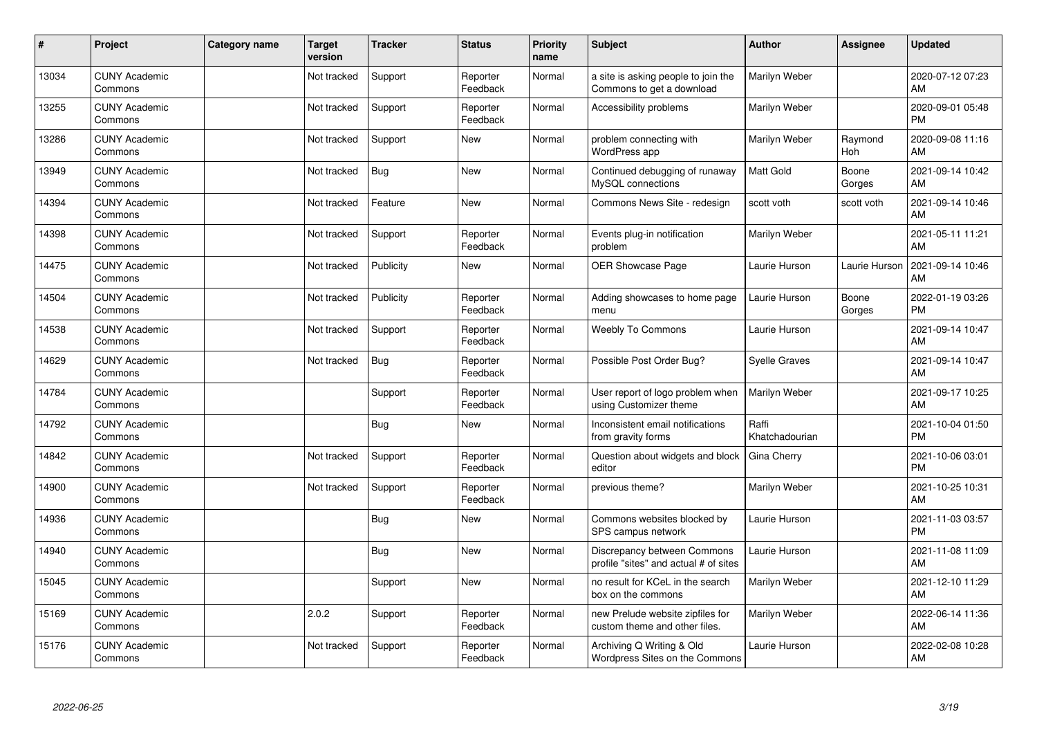| $\vert$ # | Project                         | <b>Category name</b> | <b>Target</b><br>version | <b>Tracker</b> | <b>Status</b>        | <b>Priority</b><br>name | <b>Subject</b>                                                       | <b>Author</b>           | Assignee        | <b>Updated</b>                |
|-----------|---------------------------------|----------------------|--------------------------|----------------|----------------------|-------------------------|----------------------------------------------------------------------|-------------------------|-----------------|-------------------------------|
| 13034     | <b>CUNY Academic</b><br>Commons |                      | Not tracked              | Support        | Reporter<br>Feedback | Normal                  | a site is asking people to join the<br>Commons to get a download     | Marilyn Weber           |                 | 2020-07-12 07:23<br>AM        |
| 13255     | <b>CUNY Academic</b><br>Commons |                      | Not tracked              | Support        | Reporter<br>Feedback | Normal                  | Accessibility problems                                               | Marilyn Weber           |                 | 2020-09-01 05:48<br><b>PM</b> |
| 13286     | <b>CUNY Academic</b><br>Commons |                      | Not tracked              | Support        | <b>New</b>           | Normal                  | problem connecting with<br>WordPress app                             | Marilyn Weber           | Raymond<br>Hoh  | 2020-09-08 11:16<br>AM        |
| 13949     | <b>CUNY Academic</b><br>Commons |                      | Not tracked              | <b>Bug</b>     | <b>New</b>           | Normal                  | Continued debugging of runaway<br>MySQL connections                  | Matt Gold               | Boone<br>Gorges | 2021-09-14 10:42<br>AM        |
| 14394     | <b>CUNY Academic</b><br>Commons |                      | Not tracked              | Feature        | <b>New</b>           | Normal                  | Commons News Site - redesign                                         | scott voth              | scott voth      | 2021-09-14 10:46<br>AM        |
| 14398     | <b>CUNY Academic</b><br>Commons |                      | Not tracked              | Support        | Reporter<br>Feedback | Normal                  | Events plug-in notification<br>problem                               | Marilyn Weber           |                 | 2021-05-11 11:21<br>AM        |
| 14475     | <b>CUNY Academic</b><br>Commons |                      | Not tracked              | Publicity      | <b>New</b>           | Normal                  | <b>OER Showcase Page</b>                                             | Laurie Hurson           | Laurie Hurson   | 2021-09-14 10:46<br>AM        |
| 14504     | <b>CUNY Academic</b><br>Commons |                      | Not tracked              | Publicity      | Reporter<br>Feedback | Normal                  | Adding showcases to home page<br>menu                                | Laurie Hurson           | Boone<br>Gorges | 2022-01-19 03:26<br><b>PM</b> |
| 14538     | <b>CUNY Academic</b><br>Commons |                      | Not tracked              | Support        | Reporter<br>Feedback | Normal                  | <b>Weebly To Commons</b>                                             | Laurie Hurson           |                 | 2021-09-14 10:47<br>AM        |
| 14629     | <b>CUNY Academic</b><br>Commons |                      | Not tracked              | <b>Bug</b>     | Reporter<br>Feedback | Normal                  | Possible Post Order Bug?                                             | Svelle Graves           |                 | 2021-09-14 10:47<br>AM        |
| 14784     | <b>CUNY Academic</b><br>Commons |                      |                          | Support        | Reporter<br>Feedback | Normal                  | User report of logo problem when<br>using Customizer theme           | Marilyn Weber           |                 | 2021-09-17 10:25<br>AM        |
| 14792     | <b>CUNY Academic</b><br>Commons |                      |                          | <b>Bug</b>     | New                  | Normal                  | Inconsistent email notifications<br>from gravity forms               | Raffi<br>Khatchadourian |                 | 2021-10-04 01:50<br><b>PM</b> |
| 14842     | <b>CUNY Academic</b><br>Commons |                      | Not tracked              | Support        | Reporter<br>Feedback | Normal                  | Question about widgets and block<br>editor                           | Gina Cherry             |                 | 2021-10-06 03:01<br><b>PM</b> |
| 14900     | <b>CUNY Academic</b><br>Commons |                      | Not tracked              | Support        | Reporter<br>Feedback | Normal                  | previous theme?                                                      | Marilyn Weber           |                 | 2021-10-25 10:31<br>AM        |
| 14936     | <b>CUNY Academic</b><br>Commons |                      |                          | Bug            | <b>New</b>           | Normal                  | Commons websites blocked by<br>SPS campus network                    | Laurie Hurson           |                 | 2021-11-03 03:57<br><b>PM</b> |
| 14940     | <b>CUNY Academic</b><br>Commons |                      |                          | Bug            | New                  | Normal                  | Discrepancy between Commons<br>profile "sites" and actual # of sites | Laurie Hurson           |                 | 2021-11-08 11:09<br>AM        |
| 15045     | <b>CUNY Academic</b><br>Commons |                      |                          | Support        | <b>New</b>           | Normal                  | no result for KCeL in the search<br>box on the commons               | Marilyn Weber           |                 | 2021-12-10 11:29<br>AM        |
| 15169     | <b>CUNY Academic</b><br>Commons |                      | 2.0.2                    | Support        | Reporter<br>Feedback | Normal                  | new Prelude website zipfiles for<br>custom theme and other files.    | Marilyn Weber           |                 | 2022-06-14 11:36<br>AM        |
| 15176     | <b>CUNY Academic</b><br>Commons |                      | Not tracked              | Support        | Reporter<br>Feedback | Normal                  | Archiving Q Writing & Old<br>Wordpress Sites on the Commons          | Laurie Hurson           |                 | 2022-02-08 10:28<br>AM        |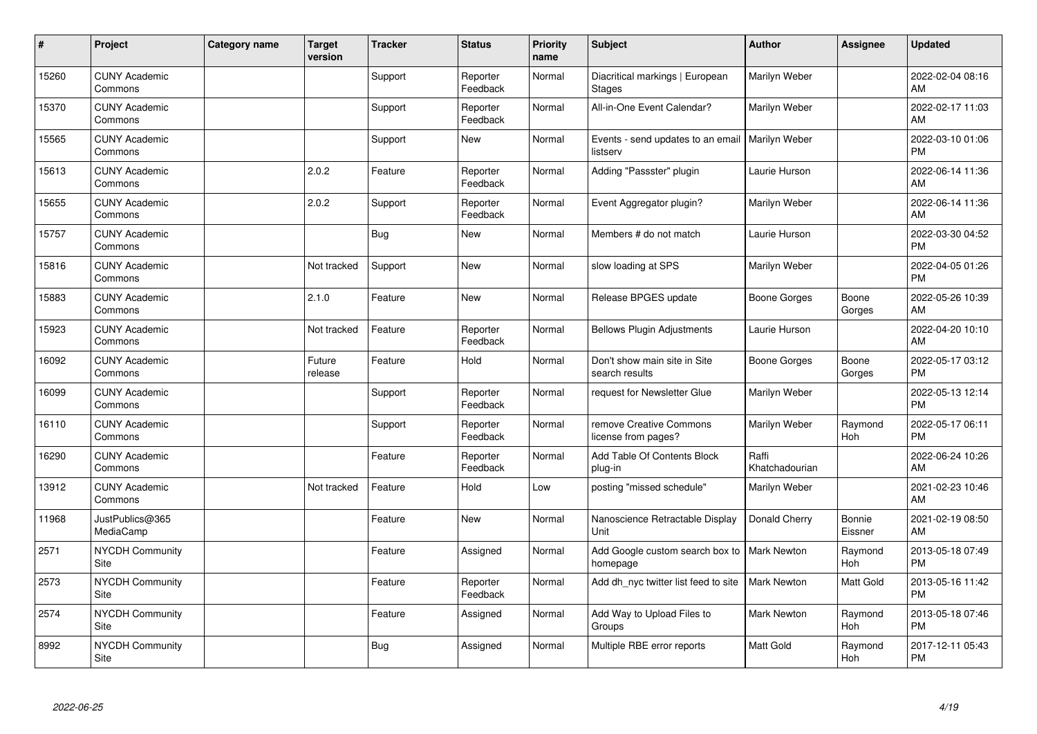| ∦     | Project                         | <b>Category name</b> | <b>Target</b><br>version | <b>Tracker</b> | <b>Status</b>        | <b>Priority</b><br>name | <b>Subject</b>                                   | <b>Author</b>           | <b>Assignee</b>   | <b>Updated</b>                |
|-------|---------------------------------|----------------------|--------------------------|----------------|----------------------|-------------------------|--------------------------------------------------|-------------------------|-------------------|-------------------------------|
| 15260 | <b>CUNY Academic</b><br>Commons |                      |                          | Support        | Reporter<br>Feedback | Normal                  | Diacritical markings   European<br><b>Stages</b> | Marilyn Weber           |                   | 2022-02-04 08:16<br>AM        |
| 15370 | <b>CUNY Academic</b><br>Commons |                      |                          | Support        | Reporter<br>Feedback | Normal                  | All-in-One Event Calendar?                       | Marilyn Weber           |                   | 2022-02-17 11:03<br>AM        |
| 15565 | <b>CUNY Academic</b><br>Commons |                      |                          | Support        | <b>New</b>           | Normal                  | Events - send updates to an email<br>listserv    | Marilyn Weber           |                   | 2022-03-10 01:06<br><b>PM</b> |
| 15613 | <b>CUNY Academic</b><br>Commons |                      | 2.0.2                    | Feature        | Reporter<br>Feedback | Normal                  | Adding "Passster" plugin                         | Laurie Hurson           |                   | 2022-06-14 11:36<br>AM        |
| 15655 | <b>CUNY Academic</b><br>Commons |                      | 2.0.2                    | Support        | Reporter<br>Feedback | Normal                  | Event Aggregator plugin?                         | Marilyn Weber           |                   | 2022-06-14 11:36<br>AM        |
| 15757 | <b>CUNY Academic</b><br>Commons |                      |                          | <b>Bug</b>     | <b>New</b>           | Normal                  | Members # do not match                           | Laurie Hurson           |                   | 2022-03-30 04:52<br><b>PM</b> |
| 15816 | <b>CUNY Academic</b><br>Commons |                      | Not tracked              | Support        | New                  | Normal                  | slow loading at SPS                              | Marilyn Weber           |                   | 2022-04-05 01:26<br><b>PM</b> |
| 15883 | <b>CUNY Academic</b><br>Commons |                      | 2.1.0                    | Feature        | <b>New</b>           | Normal                  | Release BPGES update                             | <b>Boone Gorges</b>     | Boone<br>Gorges   | 2022-05-26 10:39<br>AM        |
| 15923 | <b>CUNY Academic</b><br>Commons |                      | Not tracked              | Feature        | Reporter<br>Feedback | Normal                  | <b>Bellows Plugin Adjustments</b>                | Laurie Hurson           |                   | 2022-04-20 10:10<br>AM        |
| 16092 | <b>CUNY Academic</b><br>Commons |                      | Future<br>release        | Feature        | Hold                 | Normal                  | Don't show main site in Site<br>search results   | Boone Gorges            | Boone<br>Gorges   | 2022-05-17 03:12<br>PM        |
| 16099 | <b>CUNY Academic</b><br>Commons |                      |                          | Support        | Reporter<br>Feedback | Normal                  | request for Newsletter Glue                      | Marilyn Weber           |                   | 2022-05-13 12:14<br><b>PM</b> |
| 16110 | <b>CUNY Academic</b><br>Commons |                      |                          | Support        | Reporter<br>Feedback | Normal                  | remove Creative Commons<br>license from pages?   | Marilyn Weber           | Raymond<br>Hoh    | 2022-05-17 06:11<br><b>PM</b> |
| 16290 | <b>CUNY Academic</b><br>Commons |                      |                          | Feature        | Reporter<br>Feedback | Normal                  | Add Table Of Contents Block<br>plug-in           | Raffi<br>Khatchadourian |                   | 2022-06-24 10:26<br>AM        |
| 13912 | <b>CUNY Academic</b><br>Commons |                      | Not tracked              | Feature        | Hold                 | Low                     | posting "missed schedule"                        | Marilyn Weber           |                   | 2021-02-23 10:46<br>AM        |
| 11968 | JustPublics@365<br>MediaCamp    |                      |                          | Feature        | <b>New</b>           | Normal                  | Nanoscience Retractable Display<br>Unit          | Donald Cherry           | Bonnie<br>Eissner | 2021-02-19 08:50<br>AM        |
| 2571  | <b>NYCDH Community</b><br>Site  |                      |                          | Feature        | Assigned             | Normal                  | Add Google custom search box to<br>homepage      | <b>Mark Newton</b>      | Raymond<br>Hoh    | 2013-05-18 07:49<br><b>PM</b> |
| 2573  | <b>NYCDH Community</b><br>Site  |                      |                          | Feature        | Reporter<br>Feedback | Normal                  | Add dh nyc twitter list feed to site             | <b>Mark Newton</b>      | Matt Gold         | 2013-05-16 11:42<br><b>PM</b> |
| 2574  | NYCDH Community<br>Site         |                      |                          | Feature        | Assigned             | Normal                  | Add Way to Upload Files to<br>Groups             | Mark Newton             | Raymond<br>Hoh    | 2013-05-18 07:46<br><b>PM</b> |
| 8992  | NYCDH Community<br>Site         |                      |                          | <b>Bug</b>     | Assigned             | Normal                  | Multiple RBE error reports                       | <b>Matt Gold</b>        | Raymond<br>Hoh    | 2017-12-11 05:43<br><b>PM</b> |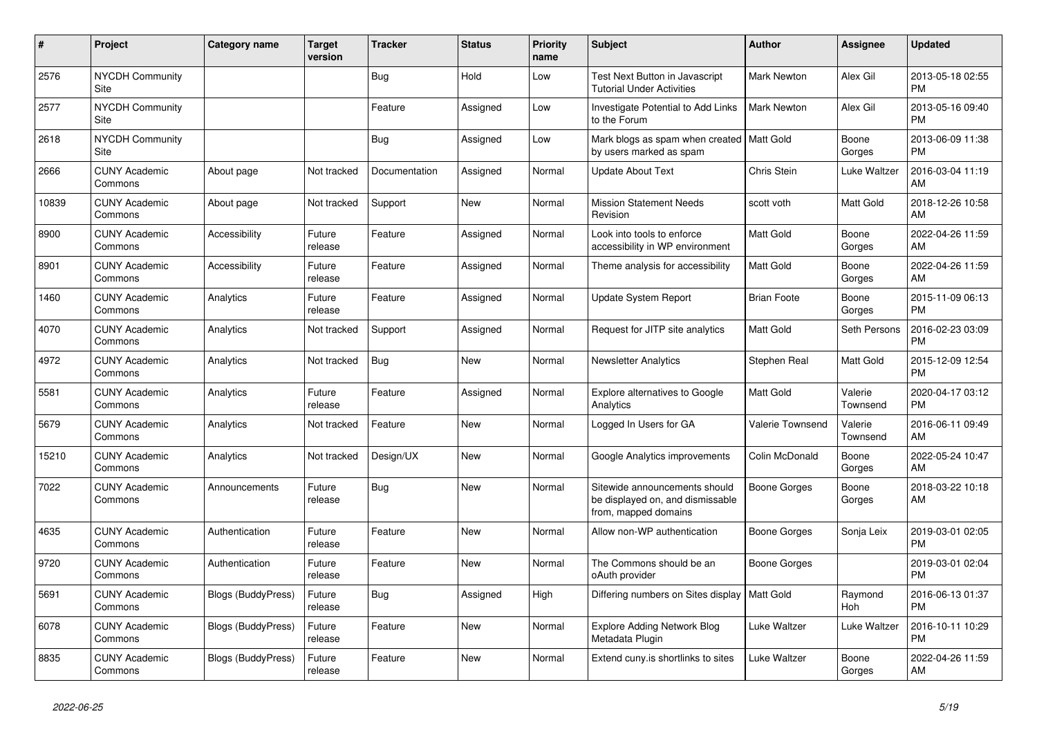| $\pmb{\sharp}$ | Project                         | <b>Category name</b>      | <b>Target</b><br>version | Tracker       | <b>Status</b> | <b>Priority</b><br>name | <b>Subject</b>                                                                            | <b>Author</b>      | Assignee              | <b>Updated</b>                |
|----------------|---------------------------------|---------------------------|--------------------------|---------------|---------------|-------------------------|-------------------------------------------------------------------------------------------|--------------------|-----------------------|-------------------------------|
| 2576           | <b>NYCDH Community</b><br>Site  |                           |                          | Bug           | Hold          | Low                     | Test Next Button in Javascript<br><b>Tutorial Under Activities</b>                        | <b>Mark Newton</b> | Alex Gil              | 2013-05-18 02:55<br><b>PM</b> |
| 2577           | <b>NYCDH Community</b><br>Site  |                           |                          | Feature       | Assigned      | Low                     | Investigate Potential to Add Links<br>to the Forum                                        | Mark Newton        | Alex Gil              | 2013-05-16 09:40<br><b>PM</b> |
| 2618           | <b>NYCDH Community</b><br>Site  |                           |                          | <b>Bug</b>    | Assigned      | Low                     | Mark blogs as spam when created   Matt Gold<br>by users marked as spam                    |                    | Boone<br>Gorges       | 2013-06-09 11:38<br><b>PM</b> |
| 2666           | <b>CUNY Academic</b><br>Commons | About page                | Not tracked              | Documentation | Assigned      | Normal                  | <b>Update About Text</b>                                                                  | Chris Stein        | Luke Waltzer          | 2016-03-04 11:19<br>AM        |
| 10839          | <b>CUNY Academic</b><br>Commons | About page                | Not tracked              | Support       | New           | Normal                  | <b>Mission Statement Needs</b><br>Revision                                                | scott voth         | Matt Gold             | 2018-12-26 10:58<br>AM        |
| 8900           | <b>CUNY Academic</b><br>Commons | Accessibility             | Future<br>release        | Feature       | Assigned      | Normal                  | Look into tools to enforce<br>accessibility in WP environment                             | Matt Gold          | Boone<br>Gorges       | 2022-04-26 11:59<br>AM        |
| 8901           | <b>CUNY Academic</b><br>Commons | Accessibility             | Future<br>release        | Feature       | Assigned      | Normal                  | Theme analysis for accessibility                                                          | <b>Matt Gold</b>   | Boone<br>Gorges       | 2022-04-26 11:59<br>AM        |
| 1460           | <b>CUNY Academic</b><br>Commons | Analytics                 | Future<br>release        | Feature       | Assigned      | Normal                  | Update System Report                                                                      | <b>Brian Foote</b> | Boone<br>Gorges       | 2015-11-09 06:13<br><b>PM</b> |
| 4070           | <b>CUNY Academic</b><br>Commons | Analytics                 | Not tracked              | Support       | Assigned      | Normal                  | Request for JITP site analytics                                                           | Matt Gold          | Seth Persons          | 2016-02-23 03:09<br><b>PM</b> |
| 4972           | <b>CUNY Academic</b><br>Commons | Analytics                 | Not tracked              | <b>Bug</b>    | New           | Normal                  | <b>Newsletter Analytics</b>                                                               | Stephen Real       | Matt Gold             | 2015-12-09 12:54<br><b>PM</b> |
| 5581           | <b>CUNY Academic</b><br>Commons | Analytics                 | Future<br>release        | Feature       | Assigned      | Normal                  | <b>Explore alternatives to Google</b><br>Analytics                                        | Matt Gold          | Valerie<br>Townsend   | 2020-04-17 03:12<br><b>PM</b> |
| 5679           | <b>CUNY Academic</b><br>Commons | Analytics                 | Not tracked              | Feature       | <b>New</b>    | Normal                  | Logged In Users for GA                                                                    | Valerie Townsend   | Valerie<br>Townsend   | 2016-06-11 09:49<br>AM        |
| 15210          | <b>CUNY Academic</b><br>Commons | Analytics                 | Not tracked              | Design/UX     | New           | Normal                  | Google Analytics improvements                                                             | Colin McDonald     | Boone<br>Gorges       | 2022-05-24 10:47<br>AM        |
| 7022           | <b>CUNY Academic</b><br>Commons | Announcements             | Future<br>release        | <b>Bug</b>    | <b>New</b>    | Normal                  | Sitewide announcements should<br>be displayed on, and dismissable<br>from, mapped domains | Boone Gorges       | Boone<br>Gorges       | 2018-03-22 10:18<br>AM        |
| 4635           | <b>CUNY Academic</b><br>Commons | Authentication            | Future<br>release        | Feature       | New           | Normal                  | Allow non-WP authentication                                                               | Boone Gorges       | Sonja Leix            | 2019-03-01 02:05<br><b>PM</b> |
| 9720           | <b>CUNY Academic</b><br>Commons | Authentication            | Future<br>release        | Feature       | New           | Normal                  | The Commons should be an<br>oAuth provider                                                | Boone Gorges       |                       | 2019-03-01 02:04<br><b>PM</b> |
| 5691           | <b>CUNY Academic</b><br>Commons | Blogs (BuddyPress)        | Future<br>release        | Bug           | Assigned      | High                    | Differing numbers on Sites display   Matt Gold                                            |                    | Raymond<br><b>Hoh</b> | 2016-06-13 01:37<br><b>PM</b> |
| 6078           | <b>CUNY Academic</b><br>Commons | <b>Blogs (BuddyPress)</b> | Future<br>release        | Feature       | <b>New</b>    | Normal                  | <b>Explore Adding Network Blog</b><br>Metadata Plugin                                     | Luke Waltzer       | Luke Waltzer          | 2016-10-11 10:29<br><b>PM</b> |
| 8835           | <b>CUNY Academic</b><br>Commons | <b>Blogs (BuddyPress)</b> | Future<br>release        | Feature       | <b>New</b>    | Normal                  | Extend cuny.is shortlinks to sites                                                        | Luke Waltzer       | Boone<br>Gorges       | 2022-04-26 11:59<br>AM        |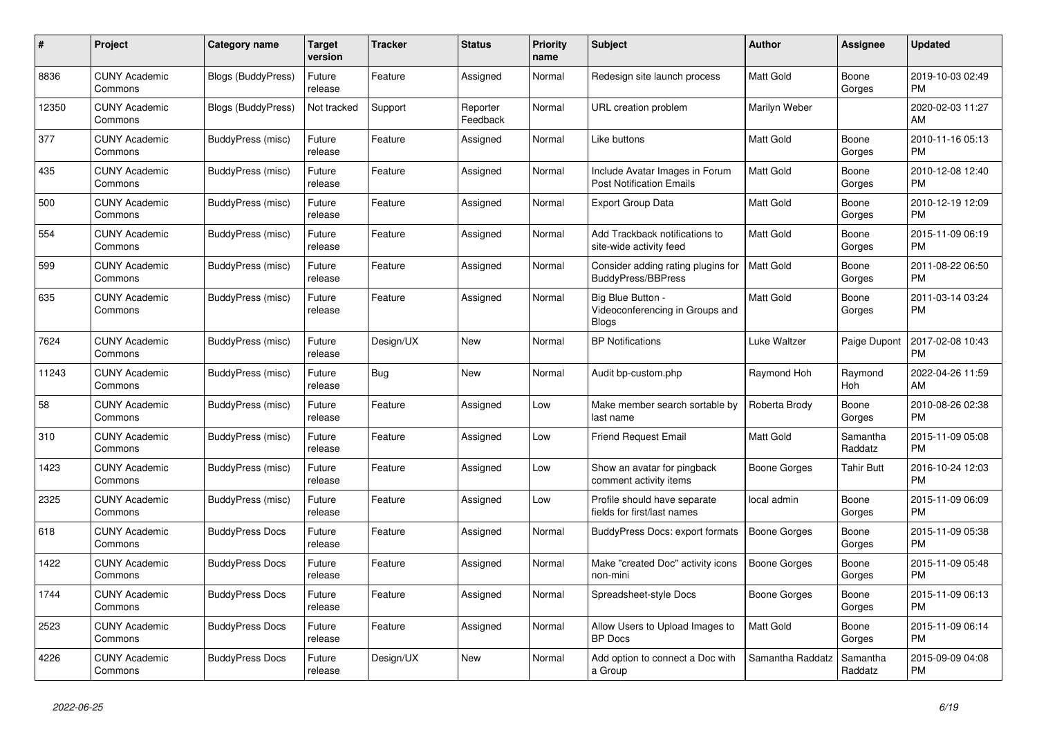| #     | Project                         | Category name             | Target<br>version | <b>Tracker</b> | <b>Status</b>        | <b>Priority</b><br>name | <b>Subject</b>                                                    | <b>Author</b>       | <b>Assignee</b>       | <b>Updated</b>                |
|-------|---------------------------------|---------------------------|-------------------|----------------|----------------------|-------------------------|-------------------------------------------------------------------|---------------------|-----------------------|-------------------------------|
| 8836  | <b>CUNY Academic</b><br>Commons | <b>Blogs (BuddyPress)</b> | Future<br>release | Feature        | Assigned             | Normal                  | Redesign site launch process                                      | Matt Gold           | Boone<br>Gorges       | 2019-10-03 02:49<br><b>PM</b> |
| 12350 | <b>CUNY Academic</b><br>Commons | Blogs (BuddyPress)        | Not tracked       | Support        | Reporter<br>Feedback | Normal                  | URL creation problem                                              | Marilyn Weber       |                       | 2020-02-03 11:27<br>AM        |
| 377   | <b>CUNY Academic</b><br>Commons | BuddyPress (misc)         | Future<br>release | Feature        | Assigned             | Normal                  | Like buttons                                                      | <b>Matt Gold</b>    | Boone<br>Gorges       | 2010-11-16 05:13<br><b>PM</b> |
| 435   | <b>CUNY Academic</b><br>Commons | BuddyPress (misc)         | Future<br>release | Feature        | Assigned             | Normal                  | Include Avatar Images in Forum<br><b>Post Notification Emails</b> | <b>Matt Gold</b>    | Boone<br>Gorges       | 2010-12-08 12:40<br><b>PM</b> |
| 500   | <b>CUNY Academic</b><br>Commons | BuddyPress (misc)         | Future<br>release | Feature        | Assigned             | Normal                  | Export Group Data                                                 | <b>Matt Gold</b>    | Boone<br>Gorges       | 2010-12-19 12:09<br><b>PM</b> |
| 554   | <b>CUNY Academic</b><br>Commons | BuddyPress (misc)         | Future<br>release | Feature        | Assigned             | Normal                  | Add Trackback notifications to<br>site-wide activity feed         | Matt Gold           | Boone<br>Gorges       | 2015-11-09 06:19<br><b>PM</b> |
| 599   | <b>CUNY Academic</b><br>Commons | BuddyPress (misc)         | Future<br>release | Feature        | Assigned             | Normal                  | Consider adding rating plugins for<br><b>BuddyPress/BBPress</b>   | <b>Matt Gold</b>    | Boone<br>Gorges       | 2011-08-22 06:50<br><b>PM</b> |
| 635   | <b>CUNY Academic</b><br>Commons | BuddyPress (misc)         | Future<br>release | Feature        | Assigned             | Normal                  | Big Blue Button -<br>Videoconferencing in Groups and<br>Blogs     | <b>Matt Gold</b>    | Boone<br>Gorges       | 2011-03-14 03:24<br><b>PM</b> |
| 7624  | <b>CUNY Academic</b><br>Commons | BuddyPress (misc)         | Future<br>release | Design/UX      | <b>New</b>           | Normal                  | <b>BP</b> Notifications                                           | Luke Waltzer        | Paige Dupont          | 2017-02-08 10:43<br><b>PM</b> |
| 11243 | <b>CUNY Academic</b><br>Commons | BuddyPress (misc)         | Future<br>release | Bug            | <b>New</b>           | Normal                  | Audit bp-custom.php                                               | Raymond Hoh         | Raymond<br><b>Hoh</b> | 2022-04-26 11:59<br>AM        |
| 58    | <b>CUNY Academic</b><br>Commons | BuddyPress (misc)         | Future<br>release | Feature        | Assigned             | Low                     | Make member search sortable by<br>last name                       | Roberta Brody       | Boone<br>Gorges       | 2010-08-26 02:38<br><b>PM</b> |
| 310   | <b>CUNY Academic</b><br>Commons | BuddyPress (misc)         | Future<br>release | Feature        | Assigned             | Low                     | Friend Request Email                                              | <b>Matt Gold</b>    | Samantha<br>Raddatz   | 2015-11-09 05:08<br><b>PM</b> |
| 1423  | <b>CUNY Academic</b><br>Commons | BuddyPress (misc)         | Future<br>release | Feature        | Assigned             | Low                     | Show an avatar for pingback<br>comment activity items             | Boone Gorges        | Tahir Butt            | 2016-10-24 12:03<br><b>PM</b> |
| 2325  | <b>CUNY Academic</b><br>Commons | BuddyPress (misc)         | Future<br>release | Feature        | Assigned             | Low                     | Profile should have separate<br>fields for first/last names       | local admin         | Boone<br>Gorges       | 2015-11-09 06:09<br><b>PM</b> |
| 618   | <b>CUNY Academic</b><br>Commons | <b>BuddyPress Docs</b>    | Future<br>release | Feature        | Assigned             | Normal                  | BuddyPress Docs: export formats                                   | Boone Gorges        | Boone<br>Gorges       | 2015-11-09 05:38<br><b>PM</b> |
| 1422  | <b>CUNY Academic</b><br>Commons | <b>BuddyPress Docs</b>    | Future<br>release | Feature        | Assigned             | Normal                  | Make "created Doc" activity icons<br>non-mini                     | <b>Boone Gorges</b> | Boone<br>Gorges       | 2015-11-09 05:48<br><b>PM</b> |
| 1744  | <b>CUNY Academic</b><br>Commons | <b>BuddyPress Docs</b>    | Future<br>release | Feature        | Assigned             | Normal                  | Spreadsheet-style Docs                                            | Boone Gorges        | Boone<br>Gorges       | 2015-11-09 06:13<br><b>PM</b> |
| 2523  | <b>CUNY Academic</b><br>Commons | <b>BuddyPress Docs</b>    | Future<br>release | Feature        | Assigned             | Normal                  | Allow Users to Upload Images to<br><b>BP</b> Docs                 | Matt Gold           | Boone<br>Gorges       | 2015-11-09 06:14<br><b>PM</b> |
| 4226  | <b>CUNY Academic</b><br>Commons | <b>BuddyPress Docs</b>    | Future<br>release | Design/UX      | <b>New</b>           | Normal                  | Add option to connect a Doc with<br>a Group                       | Samantha Raddatz    | Samantha<br>Raddatz   | 2015-09-09 04:08<br><b>PM</b> |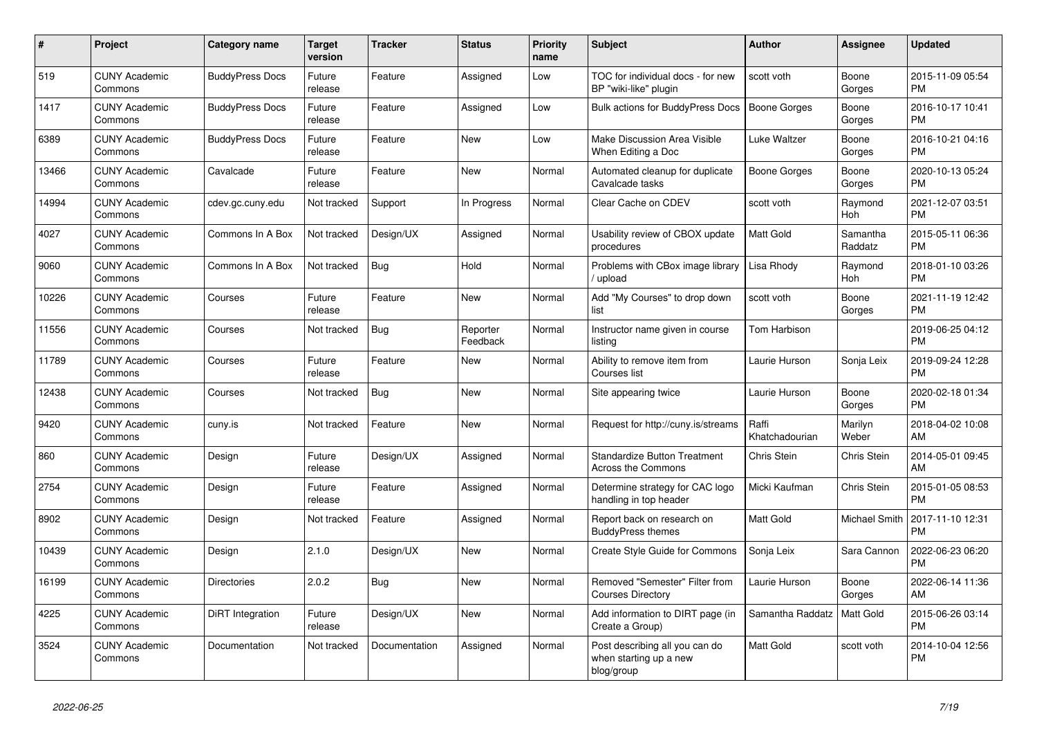| $\#$  | <b>Project</b>                  | Category name          | <b>Target</b><br>version | <b>Tracker</b> | <b>Status</b>        | <b>Priority</b><br>name | <b>Subject</b>                                                         | Author                  | Assignee            | <b>Updated</b>                |
|-------|---------------------------------|------------------------|--------------------------|----------------|----------------------|-------------------------|------------------------------------------------------------------------|-------------------------|---------------------|-------------------------------|
| 519   | <b>CUNY Academic</b><br>Commons | <b>BuddyPress Docs</b> | Future<br>release        | Feature        | Assigned             | Low                     | TOC for individual docs - for new<br>BP "wiki-like" plugin             | scott voth              | Boone<br>Gorges     | 2015-11-09 05:54<br><b>PM</b> |
| 1417  | <b>CUNY Academic</b><br>Commons | <b>BuddyPress Docs</b> | Future<br>release        | Feature        | Assigned             | Low                     | Bulk actions for BuddyPress Docs                                       | <b>Boone Gorges</b>     | Boone<br>Gorges     | 2016-10-17 10:41<br><b>PM</b> |
| 6389  | <b>CUNY Academic</b><br>Commons | <b>BuddyPress Docs</b> | Future<br>release        | Feature        | New                  | Low                     | Make Discussion Area Visible<br>When Editing a Doc                     | Luke Waltzer            | Boone<br>Gorges     | 2016-10-21 04:16<br><b>PM</b> |
| 13466 | <b>CUNY Academic</b><br>Commons | Cavalcade              | Future<br>release        | Feature        | <b>New</b>           | Normal                  | Automated cleanup for duplicate<br>Cavalcade tasks                     | <b>Boone Gorges</b>     | Boone<br>Gorges     | 2020-10-13 05:24<br><b>PM</b> |
| 14994 | <b>CUNY Academic</b><br>Commons | cdev.gc.cuny.edu       | Not tracked              | Support        | In Progress          | Normal                  | Clear Cache on CDEV                                                    | scott voth              | Raymond<br>Hoh      | 2021-12-07 03:51<br><b>PM</b> |
| 4027  | <b>CUNY Academic</b><br>Commons | Commons In A Box       | Not tracked              | Design/UX      | Assigned             | Normal                  | Usability review of CBOX update<br>procedures                          | Matt Gold               | Samantha<br>Raddatz | 2015-05-11 06:36<br><b>PM</b> |
| 9060  | <b>CUNY Academic</b><br>Commons | Commons In A Box       | Not tracked              | Bug            | Hold                 | Normal                  | Problems with CBox image library<br>/ upload                           | Lisa Rhody              | Raymond<br>Hoh      | 2018-01-10 03:26<br><b>PM</b> |
| 10226 | <b>CUNY Academic</b><br>Commons | Courses                | Future<br>release        | Feature        | <b>New</b>           | Normal                  | Add "My Courses" to drop down<br>list                                  | scott voth              | Boone<br>Gorges     | 2021-11-19 12:42<br><b>PM</b> |
| 11556 | <b>CUNY Academic</b><br>Commons | Courses                | Not tracked              | Bug            | Reporter<br>Feedback | Normal                  | Instructor name given in course<br>listing                             | Tom Harbison            |                     | 2019-06-25 04:12<br><b>PM</b> |
| 11789 | <b>CUNY Academic</b><br>Commons | Courses                | Future<br>release        | Feature        | <b>New</b>           | Normal                  | Ability to remove item from<br>Courses list                            | Laurie Hurson           | Sonja Leix          | 2019-09-24 12:28<br><b>PM</b> |
| 12438 | <b>CUNY Academic</b><br>Commons | Courses                | Not tracked              | <b>Bug</b>     | <b>New</b>           | Normal                  | Site appearing twice                                                   | Laurie Hurson           | Boone<br>Gorges     | 2020-02-18 01:34<br><b>PM</b> |
| 9420  | <b>CUNY Academic</b><br>Commons | cuny.is                | Not tracked              | Feature        | <b>New</b>           | Normal                  | Request for http://cuny.is/streams                                     | Raffi<br>Khatchadourian | Marilyn<br>Weber    | 2018-04-02 10:08<br>AM        |
| 860   | <b>CUNY Academic</b><br>Commons | Design                 | Future<br>release        | Design/UX      | Assigned             | Normal                  | <b>Standardize Button Treatment</b><br>Across the Commons              | Chris Stein             | Chris Stein         | 2014-05-01 09:45<br>AM        |
| 2754  | <b>CUNY Academic</b><br>Commons | Design                 | Future<br>release        | Feature        | Assigned             | Normal                  | Determine strategy for CAC logo<br>handling in top header              | Micki Kaufman           | Chris Stein         | 2015-01-05 08:53<br><b>PM</b> |
| 8902  | <b>CUNY Academic</b><br>Commons | Design                 | Not tracked              | Feature        | Assigned             | Normal                  | Report back on research on<br><b>BuddyPress themes</b>                 | Matt Gold               | Michael Smith       | 2017-11-10 12:31<br><b>PM</b> |
| 10439 | <b>CUNY Academic</b><br>Commons | Design                 | 2.1.0                    | Design/UX      | <b>New</b>           | Normal                  | Create Style Guide for Commons                                         | Sonja Leix              | Sara Cannon         | 2022-06-23 06:20<br><b>PM</b> |
| 16199 | <b>CUNY Academic</b><br>Commons | <b>Directories</b>     | 2.0.2                    | <b>Bug</b>     | <b>New</b>           | Normal                  | Removed "Semester" Filter from<br><b>Courses Directory</b>             | Laurie Hurson           | Boone<br>Gorges     | 2022-06-14 11:36<br>AM        |
| 4225  | <b>CUNY Academic</b><br>Commons | DiRT Integration       | Future<br>release        | Design/UX      | New                  | Normal                  | Add information to DIRT page (in<br>Create a Group)                    | Samantha Raddatz        | <b>Matt Gold</b>    | 2015-06-26 03:14<br><b>PM</b> |
| 3524  | <b>CUNY Academic</b><br>Commons | Documentation          | Not tracked              | Documentation  | Assigned             | Normal                  | Post describing all you can do<br>when starting up a new<br>blog/group | <b>Matt Gold</b>        | scott voth          | 2014-10-04 12:56<br><b>PM</b> |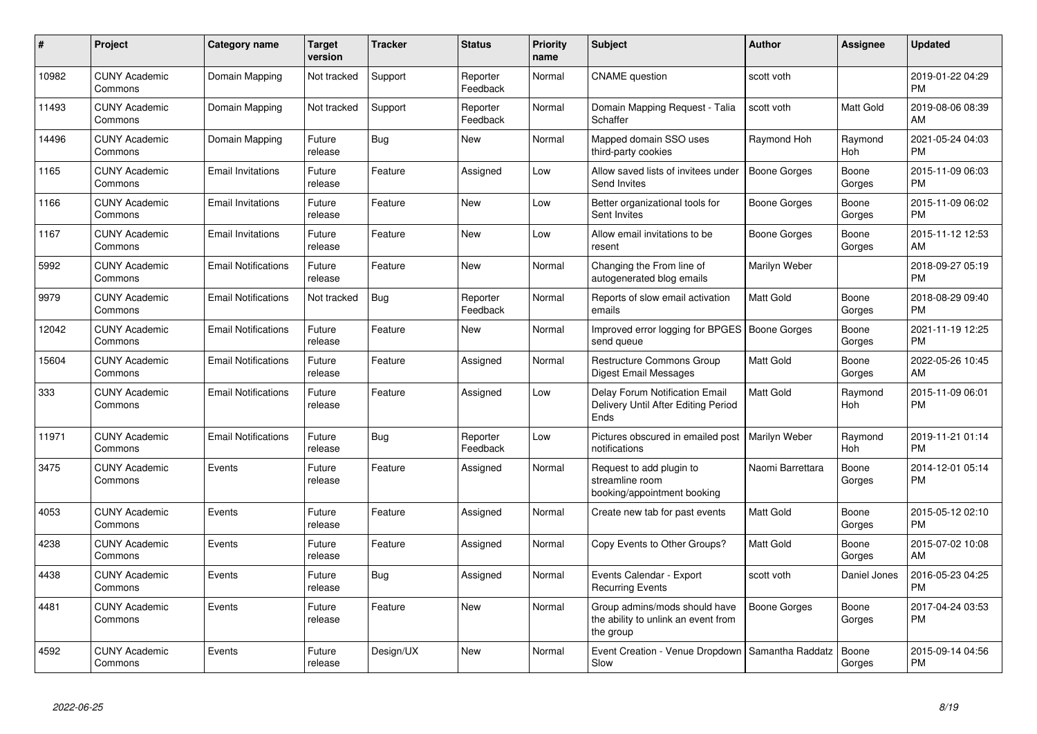| #     | Project                         | <b>Category name</b>       | Target<br>version | <b>Tracker</b> | <b>Status</b>        | <b>Priority</b><br>name | <b>Subject</b>                                                                    | <b>Author</b>       | <b>Assignee</b>  | <b>Updated</b>                |
|-------|---------------------------------|----------------------------|-------------------|----------------|----------------------|-------------------------|-----------------------------------------------------------------------------------|---------------------|------------------|-------------------------------|
| 10982 | <b>CUNY Academic</b><br>Commons | Domain Mapping             | Not tracked       | Support        | Reporter<br>Feedback | Normal                  | <b>CNAME</b> question                                                             | scott voth          |                  | 2019-01-22 04:29<br><b>PM</b> |
| 11493 | <b>CUNY Academic</b><br>Commons | Domain Mapping             | Not tracked       | Support        | Reporter<br>Feedback | Normal                  | Domain Mapping Request - Talia<br>Schaffer                                        | scott voth          | <b>Matt Gold</b> | 2019-08-06 08:39<br>AM        |
| 14496 | <b>CUNY Academic</b><br>Commons | Domain Mapping             | Future<br>release | Bug            | New                  | Normal                  | Mapped domain SSO uses<br>third-party cookies                                     | Raymond Hoh         | Raymond<br>Hoh   | 2021-05-24 04:03<br><b>PM</b> |
| 1165  | <b>CUNY Academic</b><br>Commons | <b>Email Invitations</b>   | Future<br>release | Feature        | Assigned             | Low                     | Allow saved lists of invitees under<br>Send Invites                               | <b>Boone Gorges</b> | Boone<br>Gorges  | 2015-11-09 06:03<br><b>PM</b> |
| 1166  | <b>CUNY Academic</b><br>Commons | <b>Email Invitations</b>   | Future<br>release | Feature        | <b>New</b>           | Low                     | Better organizational tools for<br>Sent Invites                                   | Boone Gorges        | Boone<br>Gorges  | 2015-11-09 06:02<br><b>PM</b> |
| 1167  | <b>CUNY Academic</b><br>Commons | <b>Email Invitations</b>   | Future<br>release | Feature        | <b>New</b>           | Low                     | Allow email invitations to be<br>resent                                           | Boone Gorges        | Boone<br>Gorges  | 2015-11-12 12:53<br>AM        |
| 5992  | <b>CUNY Academic</b><br>Commons | <b>Email Notifications</b> | Future<br>release | Feature        | <b>New</b>           | Normal                  | Changing the From line of<br>autogenerated blog emails                            | Marilyn Weber       |                  | 2018-09-27 05:19<br><b>PM</b> |
| 9979  | <b>CUNY Academic</b><br>Commons | <b>Email Notifications</b> | Not tracked       | Bug            | Reporter<br>Feedback | Normal                  | Reports of slow email activation<br>emails                                        | Matt Gold           | Boone<br>Gorges  | 2018-08-29 09:40<br><b>PM</b> |
| 12042 | <b>CUNY Academic</b><br>Commons | <b>Email Notifications</b> | Future<br>release | Feature        | New                  | Normal                  | Improved error logging for BPGES   Boone Gorges<br>send queue                     |                     | Boone<br>Gorges  | 2021-11-19 12:25<br><b>PM</b> |
| 15604 | <b>CUNY Academic</b><br>Commons | <b>Email Notifications</b> | Future<br>release | Feature        | Assigned             | Normal                  | <b>Restructure Commons Group</b><br><b>Digest Email Messages</b>                  | <b>Matt Gold</b>    | Boone<br>Gorges  | 2022-05-26 10:45<br>AM        |
| 333   | <b>CUNY Academic</b><br>Commons | <b>Email Notifications</b> | Future<br>release | Feature        | Assigned             | Low                     | Delay Forum Notification Email<br>Delivery Until After Editing Period<br>Ends     | Matt Gold           | Raymond<br>Hoh   | 2015-11-09 06:01<br><b>PM</b> |
| 11971 | <b>CUNY Academic</b><br>Commons | <b>Email Notifications</b> | Future<br>release | Bug            | Reporter<br>Feedback | Low                     | Pictures obscured in emailed post<br>notifications                                | Marilyn Weber       | Raymond<br>Hoh   | 2019-11-21 01:14<br><b>PM</b> |
| 3475  | <b>CUNY Academic</b><br>Commons | Events                     | Future<br>release | Feature        | Assigned             | Normal                  | Request to add plugin to<br>streamline room<br>booking/appointment booking        | Naomi Barrettara    | Boone<br>Gorges  | 2014-12-01 05:14<br><b>PM</b> |
| 4053  | <b>CUNY Academic</b><br>Commons | Events                     | Future<br>release | Feature        | Assigned             | Normal                  | Create new tab for past events                                                    | Matt Gold           | Boone<br>Gorges  | 2015-05-12 02:10<br><b>PM</b> |
| 4238  | <b>CUNY Academic</b><br>Commons | Events                     | Future<br>release | Feature        | Assigned             | Normal                  | Copy Events to Other Groups?                                                      | Matt Gold           | Boone<br>Gorges  | 2015-07-02 10:08<br>AM        |
| 4438  | <b>CUNY Academic</b><br>Commons | Events                     | Future<br>release | Bug            | Assigned             | Normal                  | Events Calendar - Export<br><b>Recurring Events</b>                               | scott voth          | Daniel Jones     | 2016-05-23 04:25<br><b>PM</b> |
| 4481  | <b>CUNY Academic</b><br>Commons | Events                     | Future<br>release | Feature        | <b>New</b>           | Normal                  | Group admins/mods should have<br>the ability to unlink an event from<br>the group | <b>Boone Gorges</b> | Boone<br>Gorges  | 2017-04-24 03:53<br><b>PM</b> |
| 4592  | <b>CUNY Academic</b><br>Commons | Events                     | Future<br>release | Design/UX      | <b>New</b>           | Normal                  | Event Creation - Venue Dropdown<br>Slow                                           | Samantha Raddatz    | Boone<br>Gorges  | 2015-09-14 04:56<br><b>PM</b> |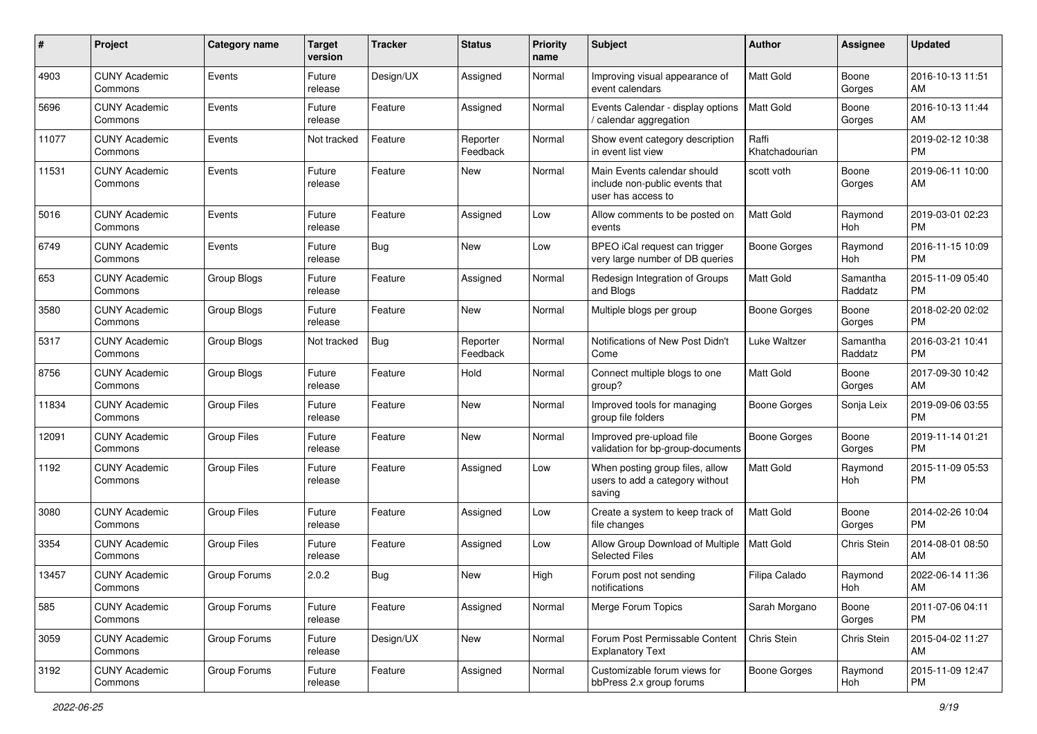| #     | Project                         | <b>Category name</b> | <b>Target</b><br>version | <b>Tracker</b> | <b>Status</b>        | <b>Priority</b><br>name | <b>Subject</b>                                                                      | Author                  | Assignee            | <b>Updated</b>                |
|-------|---------------------------------|----------------------|--------------------------|----------------|----------------------|-------------------------|-------------------------------------------------------------------------------------|-------------------------|---------------------|-------------------------------|
| 4903  | <b>CUNY Academic</b><br>Commons | Events               | Future<br>release        | Design/UX      | Assigned             | Normal                  | Improving visual appearance of<br>event calendars                                   | <b>Matt Gold</b>        | Boone<br>Gorges     | 2016-10-13 11:51<br>AM        |
| 5696  | <b>CUNY Academic</b><br>Commons | Events               | Future<br>release        | Feature        | Assigned             | Normal                  | Events Calendar - display options<br>/ calendar aggregation                         | <b>Matt Gold</b>        | Boone<br>Gorges     | 2016-10-13 11:44<br>AM        |
| 11077 | <b>CUNY Academic</b><br>Commons | Events               | Not tracked              | Feature        | Reporter<br>Feedback | Normal                  | Show event category description<br>in event list view                               | Raffi<br>Khatchadourian |                     | 2019-02-12 10:38<br><b>PM</b> |
| 11531 | <b>CUNY Academic</b><br>Commons | Events               | Future<br>release        | Feature        | New                  | Normal                  | Main Events calendar should<br>include non-public events that<br>user has access to | scott voth              | Boone<br>Gorges     | 2019-06-11 10:00<br>AM        |
| 5016  | <b>CUNY Academic</b><br>Commons | Events               | Future<br>release        | Feature        | Assigned             | Low                     | Allow comments to be posted on<br>events                                            | Matt Gold               | Raymond<br>Hoh      | 2019-03-01 02:23<br><b>PM</b> |
| 6749  | <b>CUNY Academic</b><br>Commons | Events               | Future<br>release        | Bug            | New                  | Low                     | BPEO iCal request can trigger<br>very large number of DB queries                    | Boone Gorges            | Raymond<br>Hoh      | 2016-11-15 10:09<br><b>PM</b> |
| 653   | <b>CUNY Academic</b><br>Commons | Group Blogs          | Future<br>release        | Feature        | Assigned             | Normal                  | Redesign Integration of Groups<br>and Blogs                                         | Matt Gold               | Samantha<br>Raddatz | 2015-11-09 05:40<br><b>PM</b> |
| 3580  | <b>CUNY Academic</b><br>Commons | Group Blogs          | Future<br>release        | Feature        | New                  | Normal                  | Multiple blogs per group                                                            | <b>Boone Gorges</b>     | Boone<br>Gorges     | 2018-02-20 02:02<br><b>PM</b> |
| 5317  | <b>CUNY Academic</b><br>Commons | Group Blogs          | Not tracked              | Bug            | Reporter<br>Feedback | Normal                  | Notifications of New Post Didn't<br>Come                                            | Luke Waltzer            | Samantha<br>Raddatz | 2016-03-21 10:41<br><b>PM</b> |
| 8756  | <b>CUNY Academic</b><br>Commons | Group Blogs          | Future<br>release        | Feature        | Hold                 | Normal                  | Connect multiple blogs to one<br>group?                                             | Matt Gold               | Boone<br>Gorges     | 2017-09-30 10:42<br>AM        |
| 11834 | <b>CUNY Academic</b><br>Commons | <b>Group Files</b>   | Future<br>release        | Feature        | <b>New</b>           | Normal                  | Improved tools for managing<br>group file folders                                   | <b>Boone Gorges</b>     | Sonja Leix          | 2019-09-06 03:55<br>PM        |
| 12091 | <b>CUNY Academic</b><br>Commons | <b>Group Files</b>   | Future<br>release        | Feature        | New                  | Normal                  | Improved pre-upload file<br>validation for bp-group-documents                       | Boone Gorges            | Boone<br>Gorges     | 2019-11-14 01:21<br><b>PM</b> |
| 1192  | <b>CUNY Academic</b><br>Commons | <b>Group Files</b>   | Future<br>release        | Feature        | Assigned             | Low                     | When posting group files, allow<br>users to add a category without<br>saving        | <b>Matt Gold</b>        | Raymond<br>Hoh      | 2015-11-09 05:53<br><b>PM</b> |
| 3080  | <b>CUNY Academic</b><br>Commons | <b>Group Files</b>   | Future<br>release        | Feature        | Assigned             | Low                     | Create a system to keep track of<br>file changes                                    | <b>Matt Gold</b>        | Boone<br>Gorges     | 2014-02-26 10:04<br><b>PM</b> |
| 3354  | <b>CUNY Academic</b><br>Commons | Group Files          | Future<br>release        | Feature        | Assigned             | Low                     | Allow Group Download of Multiple<br><b>Selected Files</b>                           | <b>Matt Gold</b>        | Chris Stein         | 2014-08-01 08:50<br>AM        |
| 13457 | <b>CUNY Academic</b><br>Commons | Group Forums         | 2.0.2                    | Bug            | New                  | High                    | Forum post not sending<br>notifications                                             | Filipa Calado           | Raymond<br>Hoh      | 2022-06-14 11:36<br>AM        |
| 585   | <b>CUNY Academic</b><br>Commons | Group Forums         | Future<br>release        | Feature        | Assigned             | Normal                  | Merge Forum Topics                                                                  | Sarah Morgano           | Boone<br>Gorges     | 2011-07-06 04:11<br><b>PM</b> |
| 3059  | <b>CUNY Academic</b><br>Commons | Group Forums         | Future<br>release        | Design/UX      | New                  | Normal                  | Forum Post Permissable Content<br><b>Explanatory Text</b>                           | Chris Stein             | Chris Stein         | 2015-04-02 11:27<br>AM        |
| 3192  | <b>CUNY Academic</b><br>Commons | Group Forums         | Future<br>release        | Feature        | Assigned             | Normal                  | Customizable forum views for<br>bbPress 2.x group forums                            | Boone Gorges            | Raymond<br>Hoh      | 2015-11-09 12:47<br>PM        |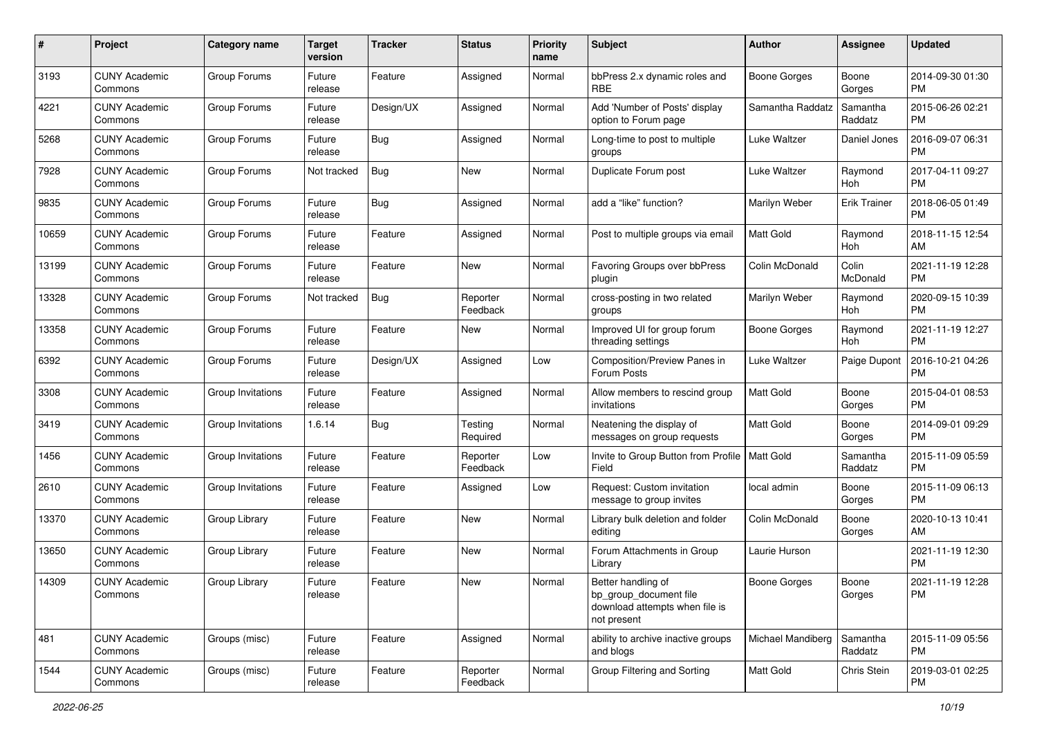| #     | Project                         | <b>Category name</b> | <b>Target</b><br>version | <b>Tracker</b> | <b>Status</b>        | <b>Priority</b><br>name | Subject                                                                                       | Author              | <b>Assignee</b>     | <b>Updated</b>                |
|-------|---------------------------------|----------------------|--------------------------|----------------|----------------------|-------------------------|-----------------------------------------------------------------------------------------------|---------------------|---------------------|-------------------------------|
| 3193  | <b>CUNY Academic</b><br>Commons | Group Forums         | Future<br>release        | Feature        | Assigned             | Normal                  | bbPress 2.x dynamic roles and<br><b>RBE</b>                                                   | <b>Boone Gorges</b> | Boone<br>Gorges     | 2014-09-30 01:30<br>PM        |
| 4221  | <b>CUNY Academic</b><br>Commons | Group Forums         | Future<br>release        | Design/UX      | Assigned             | Normal                  | Add 'Number of Posts' display<br>option to Forum page                                         | Samantha Raddatz    | Samantha<br>Raddatz | 2015-06-26 02:21<br><b>PM</b> |
| 5268  | <b>CUNY Academic</b><br>Commons | Group Forums         | Future<br>release        | Bug            | Assigned             | Normal                  | Long-time to post to multiple<br>groups                                                       | Luke Waltzer        | Daniel Jones        | 2016-09-07 06:31<br><b>PM</b> |
| 7928  | <b>CUNY Academic</b><br>Commons | Group Forums         | Not tracked              | Bug            | New                  | Normal                  | Duplicate Forum post                                                                          | Luke Waltzer        | Raymond<br>Hoh      | 2017-04-11 09:27<br><b>PM</b> |
| 9835  | <b>CUNY Academic</b><br>Commons | Group Forums         | Future<br>release        | Bug            | Assigned             | Normal                  | add a "like" function?                                                                        | Marilyn Weber       | <b>Erik Trainer</b> | 2018-06-05 01:49<br><b>PM</b> |
| 10659 | <b>CUNY Academic</b><br>Commons | Group Forums         | Future<br>release        | Feature        | Assigned             | Normal                  | Post to multiple groups via email                                                             | <b>Matt Gold</b>    | Raymond<br>Hoh      | 2018-11-15 12:54<br>AM        |
| 13199 | <b>CUNY Academic</b><br>Commons | Group Forums         | Future<br>release        | Feature        | New                  | Normal                  | Favoring Groups over bbPress<br>plugin                                                        | Colin McDonald      | Colin<br>McDonald   | 2021-11-19 12:28<br>PM        |
| 13328 | <b>CUNY Academic</b><br>Commons | Group Forums         | Not tracked              | <b>Bug</b>     | Reporter<br>Feedback | Normal                  | cross-posting in two related<br>groups                                                        | Marilyn Weber       | Raymond<br>Hoh      | 2020-09-15 10:39<br>PM        |
| 13358 | <b>CUNY Academic</b><br>Commons | Group Forums         | Future<br>release        | Feature        | New                  | Normal                  | Improved UI for group forum<br>threading settings                                             | Boone Gorges        | Raymond<br>Hoh      | 2021-11-19 12:27<br><b>PM</b> |
| 6392  | <b>CUNY Academic</b><br>Commons | Group Forums         | Future<br>release        | Design/UX      | Assigned             | Low                     | Composition/Preview Panes in<br>Forum Posts                                                   | Luke Waltzer        | Paige Dupont        | 2016-10-21 04:26<br><b>PM</b> |
| 3308  | <b>CUNY Academic</b><br>Commons | Group Invitations    | Future<br>release        | Feature        | Assigned             | Normal                  | Allow members to rescind group<br>invitations                                                 | Matt Gold           | Boone<br>Gorges     | 2015-04-01 08:53<br><b>PM</b> |
| 3419  | <b>CUNY Academic</b><br>Commons | Group Invitations    | 1.6.14                   | Bug            | Testing<br>Required  | Normal                  | Neatening the display of<br>messages on group requests                                        | <b>Matt Gold</b>    | Boone<br>Gorges     | 2014-09-01 09:29<br><b>PM</b> |
| 1456  | <b>CUNY Academic</b><br>Commons | Group Invitations    | Future<br>release        | Feature        | Reporter<br>Feedback | Low                     | Invite to Group Button from Profile   Matt Gold<br>Field                                      |                     | Samantha<br>Raddatz | 2015-11-09 05:59<br><b>PM</b> |
| 2610  | <b>CUNY Academic</b><br>Commons | Group Invitations    | Future<br>release        | Feature        | Assigned             | Low                     | Request: Custom invitation<br>message to group invites                                        | local admin         | Boone<br>Gorges     | 2015-11-09 06:13<br>PM        |
| 13370 | <b>CUNY Academic</b><br>Commons | Group Library        | Future<br>release        | Feature        | <b>New</b>           | Normal                  | Library bulk deletion and folder<br>editing                                                   | Colin McDonald      | Boone<br>Gorges     | 2020-10-13 10:41<br>AM        |
| 13650 | <b>CUNY Academic</b><br>Commons | Group Library        | Future<br>release        | Feature        | New                  | Normal                  | Forum Attachments in Group<br>Library                                                         | Laurie Hurson       |                     | 2021-11-19 12:30<br><b>PM</b> |
| 14309 | <b>CUNY Academic</b><br>Commons | Group Library        | Future<br>release        | Feature        | New                  | Normal                  | Better handling of<br>bp_group_document file<br>download attempts when file is<br>not present | <b>Boone Gorges</b> | Boone<br>Gorges     | 2021-11-19 12:28<br>PM        |
| 481   | <b>CUNY Academic</b><br>Commons | Groups (misc)        | Future<br>release        | Feature        | Assigned             | Normal                  | ability to archive inactive groups<br>and blogs                                               | Michael Mandiberg   | Samantha<br>Raddatz | 2015-11-09 05:56<br><b>PM</b> |
| 1544  | <b>CUNY Academic</b><br>Commons | Groups (misc)        | Future<br>release        | Feature        | Reporter<br>Feedback | Normal                  | Group Filtering and Sorting                                                                   | Matt Gold           | Chris Stein         | 2019-03-01 02:25<br><b>PM</b> |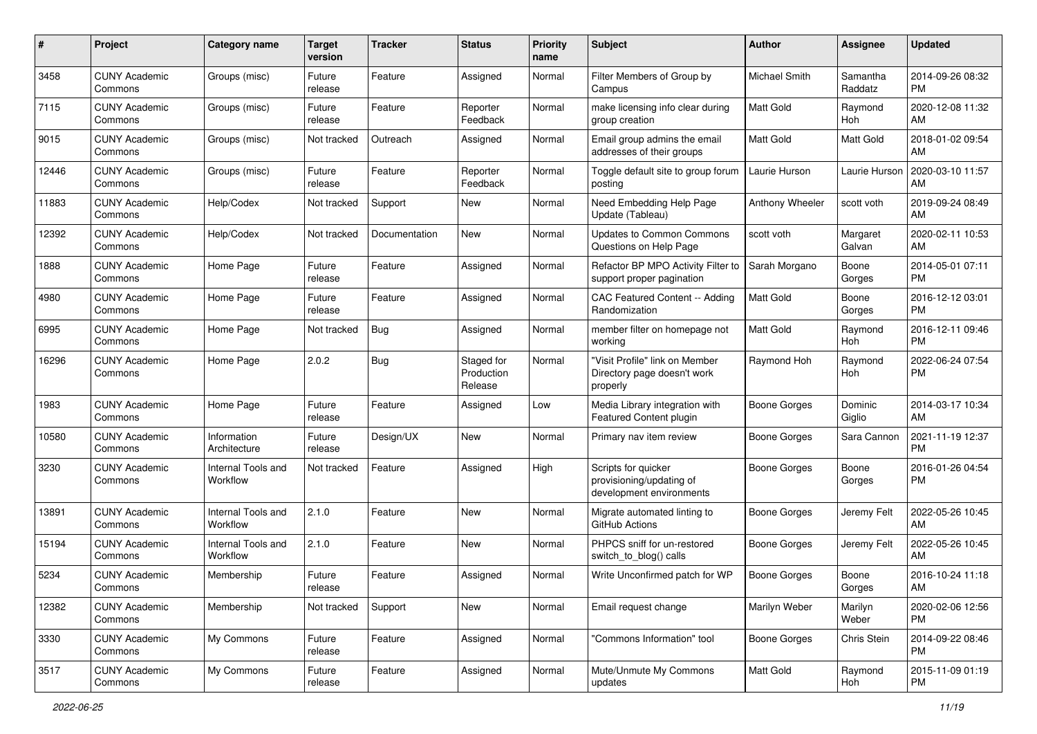| #     | Project                         | <b>Category name</b>           | <b>Target</b><br>version | <b>Tracker</b> | <b>Status</b>                       | <b>Priority</b><br>name | Subject                                                                     | Author              | <b>Assignee</b>     | <b>Updated</b>                |
|-------|---------------------------------|--------------------------------|--------------------------|----------------|-------------------------------------|-------------------------|-----------------------------------------------------------------------------|---------------------|---------------------|-------------------------------|
| 3458  | <b>CUNY Academic</b><br>Commons | Groups (misc)                  | Future<br>release        | Feature        | Assigned                            | Normal                  | Filter Members of Group by<br>Campus                                        | Michael Smith       | Samantha<br>Raddatz | 2014-09-26 08:32<br><b>PM</b> |
| 7115  | <b>CUNY Academic</b><br>Commons | Groups (misc)                  | Future<br>release        | Feature        | Reporter<br>Feedback                | Normal                  | make licensing info clear during<br>group creation                          | Matt Gold           | Raymond<br>Hoh      | 2020-12-08 11:32<br>AM        |
| 9015  | <b>CUNY Academic</b><br>Commons | Groups (misc)                  | Not tracked              | Outreach       | Assigned                            | Normal                  | Email group admins the email<br>addresses of their groups                   | Matt Gold           | Matt Gold           | 2018-01-02 09:54<br>AM        |
| 12446 | <b>CUNY Academic</b><br>Commons | Groups (misc)                  | Future<br>release        | Feature        | Reporter<br>Feedback                | Normal                  | Toggle default site to group forum<br>posting                               | Laurie Hurson       | Laurie Hurson       | 2020-03-10 11:57<br>AM        |
| 11883 | <b>CUNY Academic</b><br>Commons | Help/Codex                     | Not tracked              | Support        | New                                 | Normal                  | Need Embedding Help Page<br>Update (Tableau)                                | Anthony Wheeler     | scott voth          | 2019-09-24 08:49<br>AM        |
| 12392 | <b>CUNY Academic</b><br>Commons | Help/Codex                     | Not tracked              | Documentation  | New                                 | Normal                  | Updates to Common Commons<br>Questions on Help Page                         | scott voth          | Margaret<br>Galvan  | 2020-02-11 10:53<br>AM        |
| 1888  | <b>CUNY Academic</b><br>Commons | Home Page                      | Future<br>release        | Feature        | Assigned                            | Normal                  | Refactor BP MPO Activity Filter to<br>support proper pagination             | Sarah Morgano       | Boone<br>Gorges     | 2014-05-01 07:11<br><b>PM</b> |
| 4980  | <b>CUNY Academic</b><br>Commons | Home Page                      | Future<br>release        | Feature        | Assigned                            | Normal                  | CAC Featured Content -- Adding<br>Randomization                             | Matt Gold           | Boone<br>Gorges     | 2016-12-12 03:01<br><b>PM</b> |
| 6995  | <b>CUNY Academic</b><br>Commons | Home Page                      | Not tracked              | Bug            | Assigned                            | Normal                  | member filter on homepage not<br>working                                    | <b>Matt Gold</b>    | Raymond<br>Hoh      | 2016-12-11 09:46<br><b>PM</b> |
| 16296 | <b>CUNY Academic</b><br>Commons | Home Page                      | 2.0.2                    | Bug            | Staged for<br>Production<br>Release | Normal                  | "Visit Profile" link on Member<br>Directory page doesn't work<br>properly   | Raymond Hoh         | Raymond<br>Hoh      | 2022-06-24 07:54<br><b>PM</b> |
| 1983  | <b>CUNY Academic</b><br>Commons | Home Page                      | Future<br>release        | Feature        | Assigned                            | Low                     | Media Library integration with<br>Featured Content plugin                   | <b>Boone Gorges</b> | Dominic<br>Giglio   | 2014-03-17 10:34<br>AM        |
| 10580 | <b>CUNY Academic</b><br>Commons | Information<br>Architecture    | Future<br>release        | Design/UX      | New                                 | Normal                  | Primary nav item review                                                     | <b>Boone Gorges</b> | Sara Cannon         | 2021-11-19 12:37<br><b>PM</b> |
| 3230  | <b>CUNY Academic</b><br>Commons | Internal Tools and<br>Workflow | Not tracked              | Feature        | Assigned                            | High                    | Scripts for quicker<br>provisioning/updating of<br>development environments | <b>Boone Gorges</b> | Boone<br>Gorges     | 2016-01-26 04:54<br>PM        |
| 13891 | <b>CUNY Academic</b><br>Commons | Internal Tools and<br>Workflow | 2.1.0                    | Feature        | New                                 | Normal                  | Migrate automated linting to<br>GitHub Actions                              | <b>Boone Gorges</b> | Jeremy Felt         | 2022-05-26 10:45<br>AM        |
| 15194 | <b>CUNY Academic</b><br>Commons | Internal Tools and<br>Workflow | 2.1.0                    | Feature        | New                                 | Normal                  | PHPCS sniff for un-restored<br>switch to blog() calls                       | <b>Boone Gorges</b> | Jeremy Felt         | 2022-05-26 10:45<br>AM        |
| 5234  | <b>CUNY Academic</b><br>Commons | Membership                     | Future<br>release        | Feature        | Assigned                            | Normal                  | Write Unconfirmed patch for WP                                              | <b>Boone Gorges</b> | Boone<br>Gorges     | 2016-10-24 11:18<br>AM        |
| 12382 | <b>CUNY Academic</b><br>Commons | Membership                     | Not tracked              | Support        | New                                 | Normal                  | Email request change                                                        | Marilyn Weber       | Marilyn<br>Weber    | 2020-02-06 12:56<br>PM        |
| 3330  | <b>CUNY Academic</b><br>Commons | My Commons                     | Future<br>release        | Feature        | Assigned                            | Normal                  | "Commons Information" tool                                                  | <b>Boone Gorges</b> | Chris Stein         | 2014-09-22 08:46<br><b>PM</b> |
| 3517  | <b>CUNY Academic</b><br>Commons | My Commons                     | Future<br>release        | Feature        | Assigned                            | Normal                  | Mute/Unmute My Commons<br>updates                                           | Matt Gold           | Raymond<br>Hoh      | 2015-11-09 01:19<br>PM        |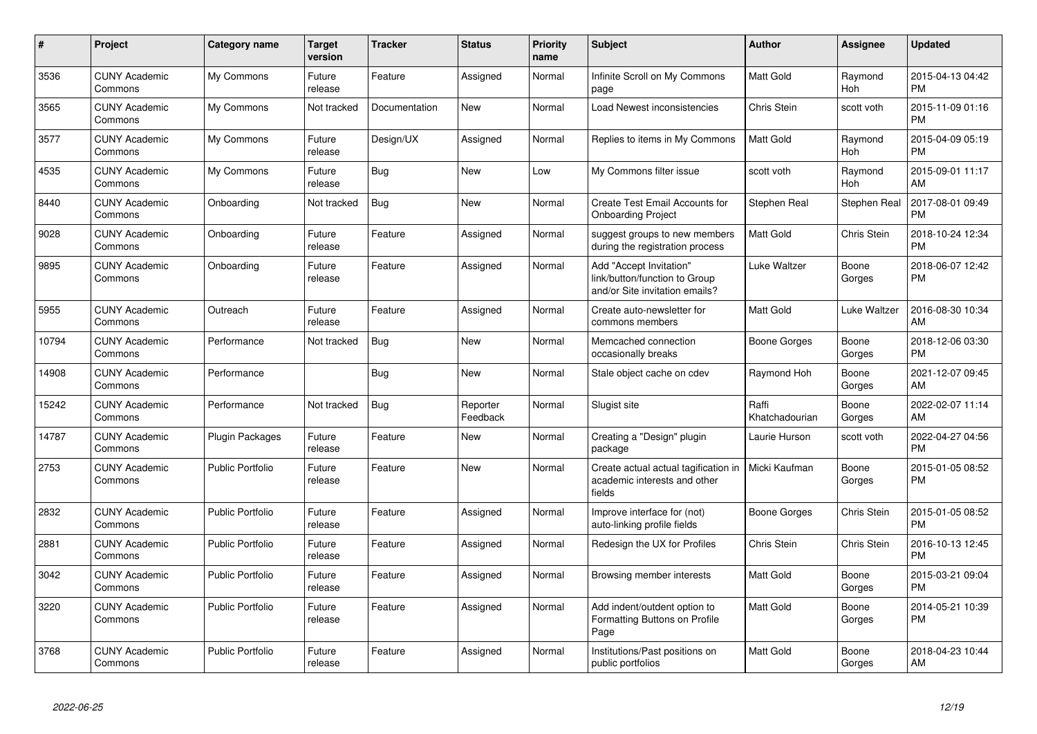| $\pmb{\#}$ | Project                         | Category name           | <b>Target</b><br>version | <b>Tracker</b> | <b>Status</b>        | <b>Priority</b><br>name | <b>Subject</b>                                                                                 | Author                  | <b>Assignee</b>       | <b>Updated</b>                |
|------------|---------------------------------|-------------------------|--------------------------|----------------|----------------------|-------------------------|------------------------------------------------------------------------------------------------|-------------------------|-----------------------|-------------------------------|
| 3536       | <b>CUNY Academic</b><br>Commons | My Commons              | Future<br>release        | Feature        | Assigned             | Normal                  | Infinite Scroll on My Commons<br>page                                                          | <b>Matt Gold</b>        | Raymond<br>Hoh        | 2015-04-13 04:42<br><b>PM</b> |
| 3565       | <b>CUNY Academic</b><br>Commons | My Commons              | Not tracked              | Documentation  | <b>New</b>           | Normal                  | Load Newest inconsistencies                                                                    | Chris Stein             | scott voth            | 2015-11-09 01:16<br><b>PM</b> |
| 3577       | <b>CUNY Academic</b><br>Commons | My Commons              | Future<br>release        | Design/UX      | Assigned             | Normal                  | Replies to items in My Commons                                                                 | <b>Matt Gold</b>        | Raymond<br>Hoh        | 2015-04-09 05:19<br><b>PM</b> |
| 4535       | <b>CUNY Academic</b><br>Commons | My Commons              | Future<br>release        | <b>Bug</b>     | <b>New</b>           | Low                     | My Commons filter issue                                                                        | scott voth              | Raymond<br><b>Hoh</b> | 2015-09-01 11:17<br>AM        |
| 8440       | <b>CUNY Academic</b><br>Commons | Onboarding              | Not tracked              | <b>Bug</b>     | <b>New</b>           | Normal                  | Create Test Email Accounts for<br><b>Onboarding Project</b>                                    | Stephen Real            | Stephen Real          | 2017-08-01 09:49<br><b>PM</b> |
| 9028       | <b>CUNY Academic</b><br>Commons | Onboarding              | Future<br>release        | Feature        | Assigned             | Normal                  | suggest groups to new members<br>during the registration process                               | <b>Matt Gold</b>        | Chris Stein           | 2018-10-24 12:34<br><b>PM</b> |
| 9895       | <b>CUNY Academic</b><br>Commons | Onboarding              | Future<br>release        | Feature        | Assigned             | Normal                  | Add "Accept Invitation"<br>link/button/function to Group<br>and/or Site invitation emails?     | Luke Waltzer            | Boone<br>Gorges       | 2018-06-07 12:42<br><b>PM</b> |
| 5955       | <b>CUNY Academic</b><br>Commons | Outreach                | Future<br>release        | Feature        | Assigned             | Normal                  | Create auto-newsletter for<br>commons members                                                  | Matt Gold               | Luke Waltzer          | 2016-08-30 10:34<br>AM        |
| 10794      | <b>CUNY Academic</b><br>Commons | Performance             | Not tracked              | <b>Bug</b>     | New                  | Normal                  | Memcached connection<br>occasionally breaks                                                    | Boone Gorges            | Boone<br>Gorges       | 2018-12-06 03:30<br><b>PM</b> |
| 14908      | <b>CUNY Academic</b><br>Commons | Performance             |                          | Bug            | <b>New</b>           | Normal                  | Stale object cache on cdev                                                                     | Raymond Hoh             | Boone<br>Gorges       | 2021-12-07 09:45<br>AM        |
| 15242      | <b>CUNY Academic</b><br>Commons | Performance             | Not tracked              | Bug            | Reporter<br>Feedback | Normal                  | Slugist site                                                                                   | Raffi<br>Khatchadourian | Boone<br>Gorges       | 2022-02-07 11:14<br>AM        |
| 14787      | <b>CUNY Academic</b><br>Commons | <b>Plugin Packages</b>  | Future<br>release        | Feature        | <b>New</b>           | Normal                  | Creating a "Design" plugin<br>package                                                          | Laurie Hurson           | scott voth            | 2022-04-27 04:56<br><b>PM</b> |
| 2753       | <b>CUNY Academic</b><br>Commons | <b>Public Portfolio</b> | Future<br>release        | Feature        | New                  | Normal                  | Create actual actual tagification in   Micki Kaufman<br>academic interests and other<br>fields |                         | Boone<br>Gorges       | 2015-01-05 08:52<br><b>PM</b> |
| 2832       | <b>CUNY Academic</b><br>Commons | <b>Public Portfolio</b> | Future<br>release        | Feature        | Assigned             | Normal                  | Improve interface for (not)<br>auto-linking profile fields                                     | Boone Gorges            | Chris Stein           | 2015-01-05 08:52<br><b>PM</b> |
| 2881       | <b>CUNY Academic</b><br>Commons | <b>Public Portfolio</b> | Future<br>release        | Feature        | Assigned             | Normal                  | Redesign the UX for Profiles                                                                   | Chris Stein             | Chris Stein           | 2016-10-13 12:45<br><b>PM</b> |
| 3042       | <b>CUNY Academic</b><br>Commons | <b>Public Portfolio</b> | Future<br>release        | Feature        | Assigned             | Normal                  | Browsing member interests                                                                      | <b>Matt Gold</b>        | Boone<br>Gorges       | 2015-03-21 09:04<br><b>PM</b> |
| 3220       | <b>CUNY Academic</b><br>Commons | <b>Public Portfolio</b> | Future<br>release        | Feature        | Assigned             | Normal                  | Add indent/outdent option to<br>Formatting Buttons on Profile<br>Page                          | <b>Matt Gold</b>        | Boone<br>Gorges       | 2014-05-21 10:39<br><b>PM</b> |
| 3768       | <b>CUNY Academic</b><br>Commons | Public Portfolio        | Future<br>release        | Feature        | Assigned             | Normal                  | Institutions/Past positions on<br>public portfolios                                            | <b>Matt Gold</b>        | Boone<br>Gorges       | 2018-04-23 10:44<br>AM        |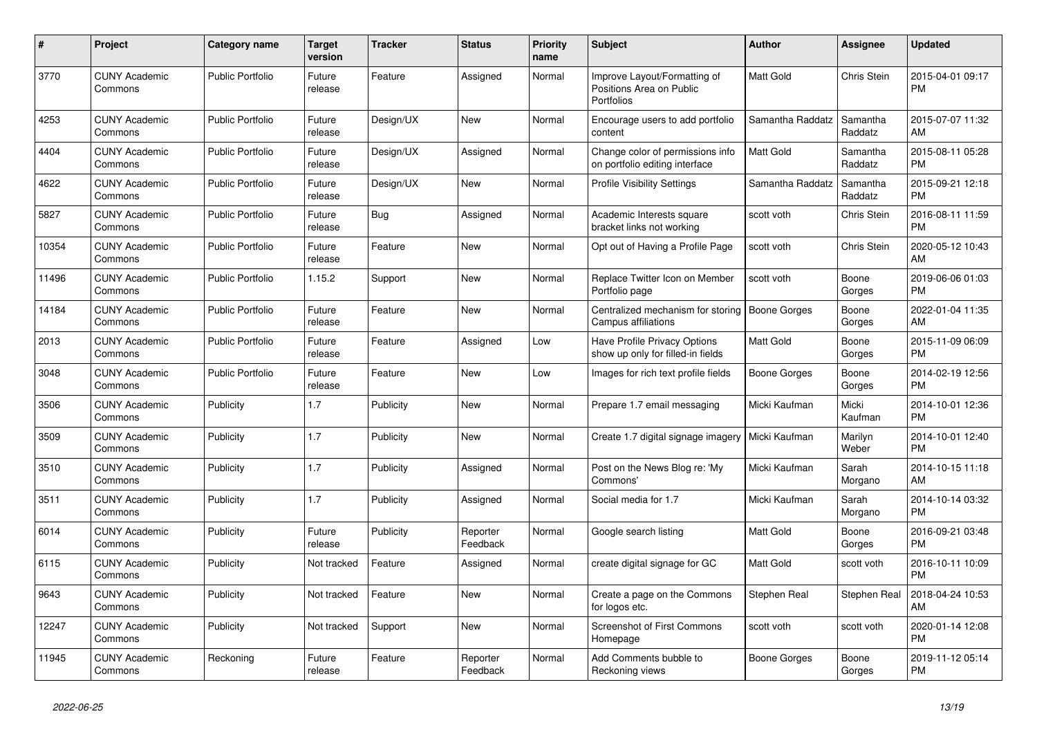| #     | Project                         | Category name           | <b>Target</b><br>version | <b>Tracker</b> | <b>Status</b>        | <b>Priority</b><br>name | <b>Subject</b>                                                         | <b>Author</b>       | <b>Assignee</b>     | <b>Updated</b>                |
|-------|---------------------------------|-------------------------|--------------------------|----------------|----------------------|-------------------------|------------------------------------------------------------------------|---------------------|---------------------|-------------------------------|
| 3770  | <b>CUNY Academic</b><br>Commons | <b>Public Portfolio</b> | Future<br>release        | Feature        | Assigned             | Normal                  | Improve Layout/Formatting of<br>Positions Area on Public<br>Portfolios | <b>Matt Gold</b>    | Chris Stein         | 2015-04-01 09:17<br><b>PM</b> |
| 4253  | <b>CUNY Academic</b><br>Commons | <b>Public Portfolio</b> | Future<br>release        | Design/UX      | <b>New</b>           | Normal                  | Encourage users to add portfolio<br>content                            | Samantha Raddatz    | Samantha<br>Raddatz | 2015-07-07 11:32<br>AM        |
| 4404  | <b>CUNY Academic</b><br>Commons | <b>Public Portfolio</b> | Future<br>release        | Design/UX      | Assigned             | Normal                  | Change color of permissions info<br>on portfolio editing interface     | Matt Gold           | Samantha<br>Raddatz | 2015-08-11 05:28<br><b>PM</b> |
| 4622  | <b>CUNY Academic</b><br>Commons | <b>Public Portfolio</b> | Future<br>release        | Design/UX      | <b>New</b>           | Normal                  | <b>Profile Visibility Settings</b>                                     | Samantha Raddatz    | Samantha<br>Raddatz | 2015-09-21 12:18<br><b>PM</b> |
| 5827  | <b>CUNY Academic</b><br>Commons | <b>Public Portfolio</b> | Future<br>release        | Bug            | Assigned             | Normal                  | Academic Interests square<br>bracket links not working                 | scott voth          | Chris Stein         | 2016-08-11 11:59<br><b>PM</b> |
| 10354 | <b>CUNY Academic</b><br>Commons | <b>Public Portfolio</b> | Future<br>release        | Feature        | <b>New</b>           | Normal                  | Opt out of Having a Profile Page                                       | scott voth          | Chris Stein         | 2020-05-12 10:43<br>AM        |
| 11496 | <b>CUNY Academic</b><br>Commons | <b>Public Portfolio</b> | 1.15.2                   | Support        | <b>New</b>           | Normal                  | Replace Twitter Icon on Member<br>Portfolio page                       | scott voth          | Boone<br>Gorges     | 2019-06-06 01:03<br><b>PM</b> |
| 14184 | <b>CUNY Academic</b><br>Commons | <b>Public Portfolio</b> | Future<br>release        | Feature        | New                  | Normal                  | Centralized mechanism for storing<br>Campus affiliations               | <b>Boone Gorges</b> | Boone<br>Gorges     | 2022-01-04 11:35<br>AM        |
| 2013  | <b>CUNY Academic</b><br>Commons | <b>Public Portfolio</b> | Future<br>release        | Feature        | Assigned             | Low                     | Have Profile Privacy Options<br>show up only for filled-in fields      | Matt Gold           | Boone<br>Gorges     | 2015-11-09 06:09<br><b>PM</b> |
| 3048  | <b>CUNY Academic</b><br>Commons | <b>Public Portfolio</b> | Future<br>release        | Feature        | <b>New</b>           | Low                     | Images for rich text profile fields                                    | <b>Boone Gorges</b> | Boone<br>Gorges     | 2014-02-19 12:56<br><b>PM</b> |
| 3506  | <b>CUNY Academic</b><br>Commons | Publicity               | 1.7                      | Publicity      | New                  | Normal                  | Prepare 1.7 email messaging                                            | Micki Kaufman       | Micki<br>Kaufman    | 2014-10-01 12:36<br><b>PM</b> |
| 3509  | <b>CUNY Academic</b><br>Commons | Publicity               | 1.7                      | Publicity      | <b>New</b>           | Normal                  | Create 1.7 digital signage imagery   Micki Kaufman                     |                     | Marilyn<br>Weber    | 2014-10-01 12:40<br><b>PM</b> |
| 3510  | <b>CUNY Academic</b><br>Commons | Publicity               | 1.7                      | Publicity      | Assigned             | Normal                  | Post on the News Blog re: 'My<br>Commons'                              | Micki Kaufman       | Sarah<br>Morgano    | 2014-10-15 11:18<br>AM        |
| 3511  | <b>CUNY Academic</b><br>Commons | Publicity               | 1.7                      | Publicity      | Assigned             | Normal                  | Social media for 1.7                                                   | Micki Kaufman       | Sarah<br>Morgano    | 2014-10-14 03:32<br><b>PM</b> |
| 6014  | <b>CUNY Academic</b><br>Commons | Publicity               | Future<br>release        | Publicity      | Reporter<br>Feedback | Normal                  | Google search listing                                                  | <b>Matt Gold</b>    | Boone<br>Gorges     | 2016-09-21 03:48<br><b>PM</b> |
| 6115  | <b>CUNY Academic</b><br>Commons | Publicity               | Not tracked              | Feature        | Assigned             | Normal                  | create digital signage for GC                                          | Matt Gold           | scott voth          | 2016-10-11 10:09<br><b>PM</b> |
| 9643  | <b>CUNY Academic</b><br>Commons | Publicity               | Not tracked              | Feature        | <b>New</b>           | Normal                  | Create a page on the Commons<br>for logos etc.                         | Stephen Real        | Stephen Real        | 2018-04-24 10:53<br>AM        |
| 12247 | <b>CUNY Academic</b><br>Commons | Publicity               | Not tracked              | Support        | <b>New</b>           | Normal                  | Screenshot of First Commons<br>Homepage                                | scott voth          | scott voth          | 2020-01-14 12:08<br><b>PM</b> |
| 11945 | <b>CUNY Academic</b><br>Commons | Reckoning               | Future<br>release        | Feature        | Reporter<br>Feedback | Normal                  | Add Comments bubble to<br>Reckoning views                              | Boone Gorges        | Boone<br>Gorges     | 2019-11-12 05:14<br><b>PM</b> |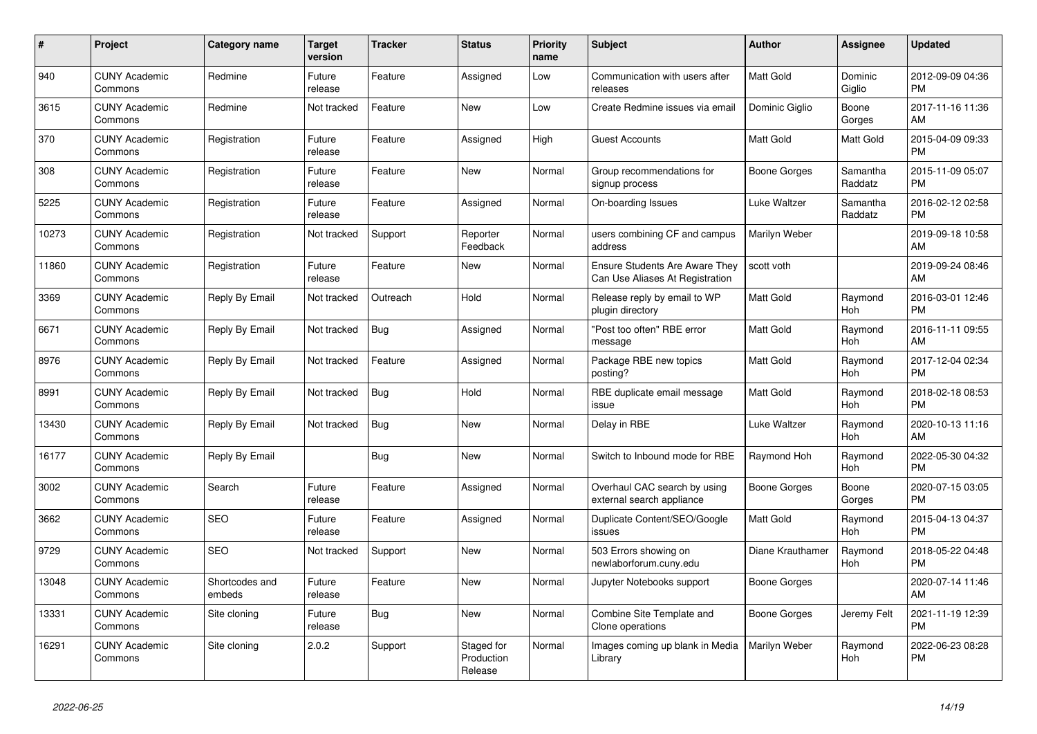| #     | Project                         | Category name            | <b>Target</b><br>version | <b>Tracker</b> | <b>Status</b>                       | <b>Priority</b><br>name | <b>Subject</b>                                                           | <b>Author</b>       | <b>Assignee</b>       | <b>Updated</b>                |
|-------|---------------------------------|--------------------------|--------------------------|----------------|-------------------------------------|-------------------------|--------------------------------------------------------------------------|---------------------|-----------------------|-------------------------------|
| 940   | <b>CUNY Academic</b><br>Commons | Redmine                  | Future<br>release        | Feature        | Assigned                            | Low                     | Communication with users after<br>releases                               | <b>Matt Gold</b>    | Dominic<br>Giglio     | 2012-09-09 04:36<br><b>PM</b> |
| 3615  | <b>CUNY Academic</b><br>Commons | Redmine                  | Not tracked              | Feature        | <b>New</b>                          | Low                     | Create Redmine issues via email                                          | Dominic Giglio      | Boone<br>Gorges       | 2017-11-16 11:36<br>AM        |
| 370   | <b>CUNY Academic</b><br>Commons | Registration             | Future<br>release        | Feature        | Assigned                            | High                    | <b>Guest Accounts</b>                                                    | Matt Gold           | Matt Gold             | 2015-04-09 09:33<br><b>PM</b> |
| 308   | <b>CUNY Academic</b><br>Commons | Registration             | Future<br>release        | Feature        | <b>New</b>                          | Normal                  | Group recommendations for<br>signup process                              | Boone Gorges        | Samantha<br>Raddatz   | 2015-11-09 05:07<br><b>PM</b> |
| 5225  | <b>CUNY Academic</b><br>Commons | Registration             | Future<br>release        | Feature        | Assigned                            | Normal                  | On-boarding Issues                                                       | Luke Waltzer        | Samantha<br>Raddatz   | 2016-02-12 02:58<br><b>PM</b> |
| 10273 | <b>CUNY Academic</b><br>Commons | Registration             | Not tracked              | Support        | Reporter<br>Feedback                | Normal                  | users combining CF and campus<br>address                                 | Marilyn Weber       |                       | 2019-09-18 10:58<br>AM        |
| 11860 | <b>CUNY Academic</b><br>Commons | Registration             | Future<br>release        | Feature        | <b>New</b>                          | Normal                  | <b>Ensure Students Are Aware They</b><br>Can Use Aliases At Registration | scott voth          |                       | 2019-09-24 08:46<br>AM        |
| 3369  | <b>CUNY Academic</b><br>Commons | Reply By Email           | Not tracked              | Outreach       | Hold                                | Normal                  | Release reply by email to WP<br>plugin directory                         | <b>Matt Gold</b>    | Raymond<br>Hoh        | 2016-03-01 12:46<br><b>PM</b> |
| 6671  | <b>CUNY Academic</b><br>Commons | Reply By Email           | Not tracked              | <b>Bug</b>     | Assigned                            | Normal                  | 'Post too often" RBE error<br>message                                    | Matt Gold           | Raymond<br>Hoh        | 2016-11-11 09:55<br>AM        |
| 8976  | <b>CUNY Academic</b><br>Commons | Reply By Email           | Not tracked              | Feature        | Assigned                            | Normal                  | Package RBE new topics<br>posting?                                       | <b>Matt Gold</b>    | Raymond<br>Hoh        | 2017-12-04 02:34<br><b>PM</b> |
| 8991  | <b>CUNY Academic</b><br>Commons | Reply By Email           | Not tracked              | Bug            | Hold                                | Normal                  | RBE duplicate email message<br>issue                                     | <b>Matt Gold</b>    | Raymond<br>Hoh        | 2018-02-18 08:53<br><b>PM</b> |
| 13430 | <b>CUNY Academic</b><br>Commons | Reply By Email           | Not tracked              | <b>Bug</b>     | <b>New</b>                          | Normal                  | Delay in RBE                                                             | Luke Waltzer        | Raymond<br>Hoh        | 2020-10-13 11:16<br>AM        |
| 16177 | <b>CUNY Academic</b><br>Commons | Reply By Email           |                          | Bug            | New                                 | Normal                  | Switch to Inbound mode for RBE                                           | Raymond Hoh         | Raymond<br>Hoh        | 2022-05-30 04:32<br><b>PM</b> |
| 3002  | <b>CUNY Academic</b><br>Commons | Search                   | Future<br>release        | Feature        | Assigned                            | Normal                  | Overhaul CAC search by using<br>external search appliance                | <b>Boone Gorges</b> | Boone<br>Gorges       | 2020-07-15 03:05<br><b>PM</b> |
| 3662  | <b>CUNY Academic</b><br>Commons | <b>SEO</b>               | Future<br>release        | Feature        | Assigned                            | Normal                  | Duplicate Content/SEO/Google<br>issues                                   | <b>Matt Gold</b>    | Raymond<br>Hoh        | 2015-04-13 04:37<br><b>PM</b> |
| 9729  | <b>CUNY Academic</b><br>Commons | <b>SEO</b>               | Not tracked              | Support        | <b>New</b>                          | Normal                  | 503 Errors showing on<br>newlaborforum.cuny.edu                          | Diane Krauthamer    | Raymond<br>Hoh        | 2018-05-22 04:48<br><b>PM</b> |
| 13048 | <b>CUNY Academic</b><br>Commons | Shortcodes and<br>embeds | Future<br>release        | Feature        | <b>New</b>                          | Normal                  | Jupyter Notebooks support                                                | Boone Gorges        |                       | 2020-07-14 11:46<br>AM        |
| 13331 | <b>CUNY Academic</b><br>Commons | Site cloning             | Future<br>release        | Bug            | <b>New</b>                          | Normal                  | Combine Site Template and<br>Clone operations                            | Boone Gorges        | Jeremy Felt           | 2021-11-19 12:39<br><b>PM</b> |
| 16291 | <b>CUNY Academic</b><br>Commons | Site cloning             | 2.0.2                    | Support        | Staged for<br>Production<br>Release | Normal                  | Images coming up blank in Media<br>Library                               | Marilyn Weber       | Raymond<br><b>Hoh</b> | 2022-06-23 08:28<br><b>PM</b> |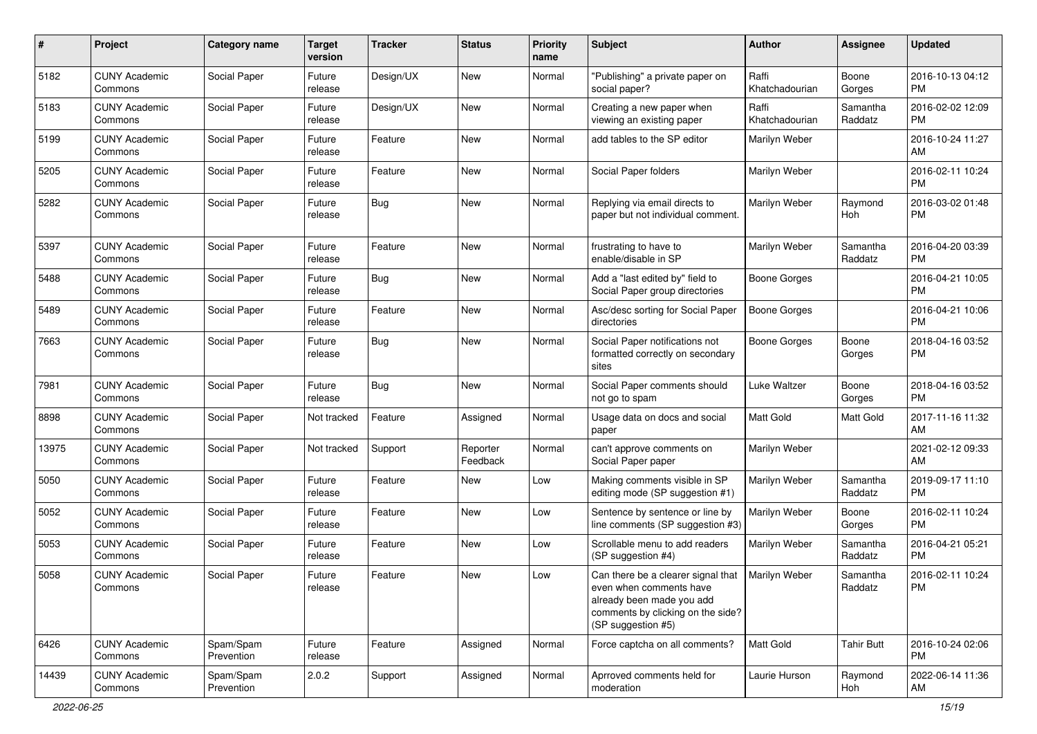| #     | Project                         | <b>Category name</b>    | Target<br>version | <b>Tracker</b> | <b>Status</b>        | <b>Priority</b><br>name | <b>Subject</b>                                                                                                                                        | Author                  | Assignee            | <b>Updated</b>                |
|-------|---------------------------------|-------------------------|-------------------|----------------|----------------------|-------------------------|-------------------------------------------------------------------------------------------------------------------------------------------------------|-------------------------|---------------------|-------------------------------|
| 5182  | <b>CUNY Academic</b><br>Commons | Social Paper            | Future<br>release | Design/UX      | New                  | Normal                  | "Publishing" a private paper on<br>social paper?                                                                                                      | Raffi<br>Khatchadourian | Boone<br>Gorges     | 2016-10-13 04:12<br><b>PM</b> |
| 5183  | <b>CUNY Academic</b><br>Commons | Social Paper            | Future<br>release | Design/UX      | New                  | Normal                  | Creating a new paper when<br>viewing an existing paper                                                                                                | Raffi<br>Khatchadourian | Samantha<br>Raddatz | 2016-02-02 12:09<br><b>PM</b> |
| 5199  | <b>CUNY Academic</b><br>Commons | Social Paper            | Future<br>release | Feature        | New                  | Normal                  | add tables to the SP editor                                                                                                                           | Marilyn Weber           |                     | 2016-10-24 11:27<br>AM        |
| 5205  | <b>CUNY Academic</b><br>Commons | Social Paper            | Future<br>release | Feature        | <b>New</b>           | Normal                  | Social Paper folders                                                                                                                                  | Marilyn Weber           |                     | 2016-02-11 10:24<br><b>PM</b> |
| 5282  | <b>CUNY Academic</b><br>Commons | Social Paper            | Future<br>release | Bug            | New                  | Normal                  | Replying via email directs to<br>paper but not individual comment.                                                                                    | Marilyn Weber           | Raymond<br>Hoh      | 2016-03-02 01:48<br><b>PM</b> |
| 5397  | <b>CUNY Academic</b><br>Commons | Social Paper            | Future<br>release | Feature        | New                  | Normal                  | frustrating to have to<br>enable/disable in SP                                                                                                        | Marilyn Weber           | Samantha<br>Raddatz | 2016-04-20 03:39<br><b>PM</b> |
| 5488  | <b>CUNY Academic</b><br>Commons | Social Paper            | Future<br>release | Bug            | New                  | Normal                  | Add a "last edited by" field to<br>Social Paper group directories                                                                                     | <b>Boone Gorges</b>     |                     | 2016-04-21 10:05<br><b>PM</b> |
| 5489  | <b>CUNY Academic</b><br>Commons | Social Paper            | Future<br>release | Feature        | New                  | Normal                  | Asc/desc sorting for Social Paper<br>directories                                                                                                      | <b>Boone Gorges</b>     |                     | 2016-04-21 10:06<br><b>PM</b> |
| 7663  | <b>CUNY Academic</b><br>Commons | Social Paper            | Future<br>release | Bug            | New                  | Normal                  | Social Paper notifications not<br>formatted correctly on secondary<br>sites                                                                           | <b>Boone Gorges</b>     | Boone<br>Gorges     | 2018-04-16 03:52<br>РM        |
| 7981  | <b>CUNY Academic</b><br>Commons | Social Paper            | Future<br>release | Bug            | New                  | Normal                  | Social Paper comments should<br>not go to spam                                                                                                        | Luke Waltzer            | Boone<br>Gorges     | 2018-04-16 03:52<br><b>PM</b> |
| 8898  | <b>CUNY Academic</b><br>Commons | Social Paper            | Not tracked       | Feature        | Assigned             | Normal                  | Usage data on docs and social<br>paper                                                                                                                | Matt Gold               | Matt Gold           | 2017-11-16 11:32<br>AM        |
| 13975 | <b>CUNY Academic</b><br>Commons | Social Paper            | Not tracked       | Support        | Reporter<br>Feedback | Normal                  | can't approve comments on<br>Social Paper paper                                                                                                       | Marilyn Weber           |                     | 2021-02-12 09:33<br>AM        |
| 5050  | <b>CUNY Academic</b><br>Commons | Social Paper            | Future<br>release | Feature        | New                  | Low                     | Making comments visible in SP<br>editing mode (SP suggestion #1)                                                                                      | Marilyn Weber           | Samantha<br>Raddatz | 2019-09-17 11:10<br><b>PM</b> |
| 5052  | <b>CUNY Academic</b><br>Commons | Social Paper            | Future<br>release | Feature        | <b>New</b>           | Low                     | Sentence by sentence or line by<br>line comments (SP suggestion #3)                                                                                   | Marilyn Weber           | Boone<br>Gorges     | 2016-02-11 10:24<br><b>PM</b> |
| 5053  | <b>CUNY Academic</b><br>Commons | Social Paper            | Future<br>release | Feature        | New                  | Low                     | Scrollable menu to add readers<br>(SP suggestion #4)                                                                                                  | Marilyn Weber           | Samantha<br>Raddatz | 2016-04-21 05:21<br><b>PM</b> |
| 5058  | <b>CUNY Academic</b><br>Commons | Social Paper            | Future<br>release | Feature        | New                  | Low                     | Can there be a clearer signal that<br>even when comments have<br>already been made you add<br>comments by clicking on the side?<br>(SP suggestion #5) | Marilyn Weber           | Samantha<br>Raddatz | 2016-02-11 10:24<br>PM        |
| 6426  | <b>CUNY Academic</b><br>Commons | Spam/Spam<br>Prevention | Future<br>release | Feature        | Assigned             | Normal                  | Force captcha on all comments?                                                                                                                        | Matt Gold               | <b>Tahir Butt</b>   | 2016-10-24 02:06<br><b>PM</b> |
| 14439 | <b>CUNY Academic</b><br>Commons | Spam/Spam<br>Prevention | 2.0.2             | Support        | Assigned             | Normal                  | Aprroved comments held for<br>moderation                                                                                                              | Laurie Hurson           | Raymond<br>Hoh      | 2022-06-14 11:36<br>AM        |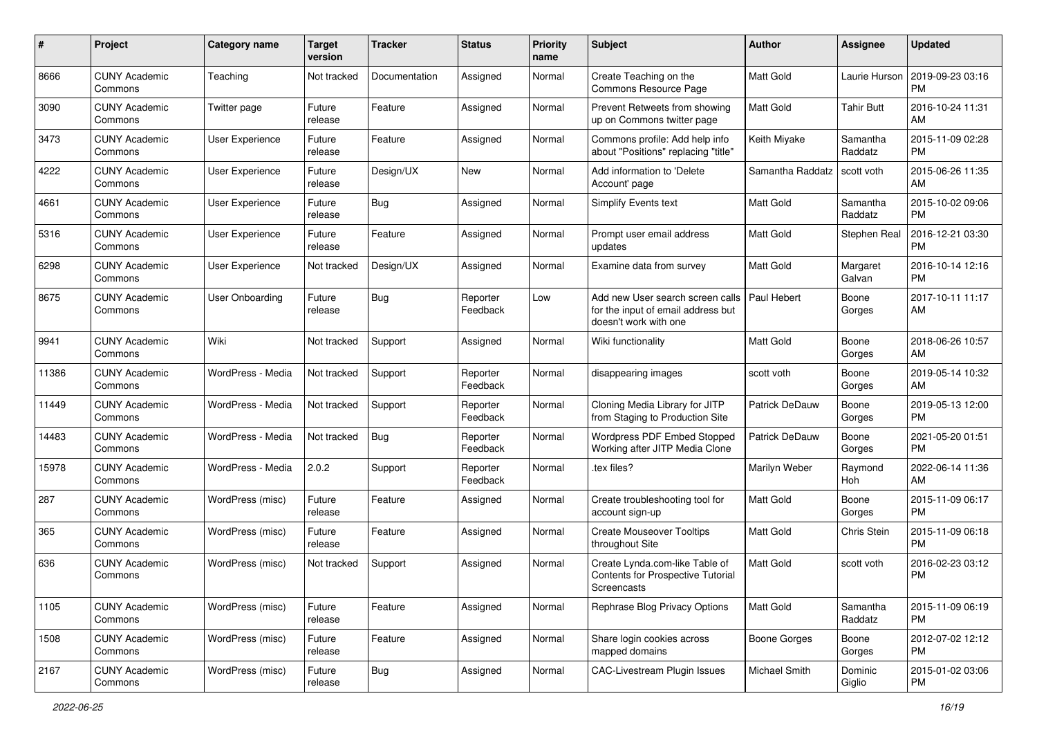| #     | Project                         | <b>Category name</b>   | <b>Target</b><br>version | <b>Tracker</b> | <b>Status</b>        | <b>Priority</b><br>name | Subject                                                                                         | Author                | Assignee            | <b>Updated</b>                |
|-------|---------------------------------|------------------------|--------------------------|----------------|----------------------|-------------------------|-------------------------------------------------------------------------------------------------|-----------------------|---------------------|-------------------------------|
| 8666  | <b>CUNY Academic</b><br>Commons | Teaching               | Not tracked              | Documentation  | Assigned             | Normal                  | Create Teaching on the<br>Commons Resource Page                                                 | Matt Gold             | Laurie Hurson       | 2019-09-23 03:16<br><b>PM</b> |
| 3090  | <b>CUNY Academic</b><br>Commons | Twitter page           | Future<br>release        | Feature        | Assigned             | Normal                  | Prevent Retweets from showing<br>up on Commons twitter page                                     | <b>Matt Gold</b>      | <b>Tahir Butt</b>   | 2016-10-24 11:31<br>AM        |
| 3473  | <b>CUNY Academic</b><br>Commons | User Experience        | Future<br>release        | Feature        | Assigned             | Normal                  | Commons profile: Add help info<br>about "Positions" replacing "title"                           | Keith Miyake          | Samantha<br>Raddatz | 2015-11-09 02:28<br><b>PM</b> |
| 4222  | <b>CUNY Academic</b><br>Commons | User Experience        | Future<br>release        | Design/UX      | <b>New</b>           | Normal                  | Add information to 'Delete<br>Account' page                                                     | Samantha Raddatz      | scott voth          | 2015-06-26 11:35<br>AM        |
| 4661  | <b>CUNY Academic</b><br>Commons | User Experience        | Future<br>release        | <b>Bug</b>     | Assigned             | Normal                  | <b>Simplify Events text</b>                                                                     | <b>Matt Gold</b>      | Samantha<br>Raddatz | 2015-10-02 09:06<br><b>PM</b> |
| 5316  | <b>CUNY Academic</b><br>Commons | User Experience        | Future<br>release        | Feature        | Assigned             | Normal                  | Prompt user email address<br>updates                                                            | <b>Matt Gold</b>      | Stephen Real        | 2016-12-21 03:30<br><b>PM</b> |
| 6298  | <b>CUNY Academic</b><br>Commons | User Experience        | Not tracked              | Design/UX      | Assigned             | Normal                  | Examine data from survey                                                                        | <b>Matt Gold</b>      | Margaret<br>Galvan  | 2016-10-14 12:16<br><b>PM</b> |
| 8675  | <b>CUNY Academic</b><br>Commons | <b>User Onboarding</b> | Future<br>release        | Bug            | Reporter<br>Feedback | Low                     | Add new User search screen calls<br>for the input of email address but<br>doesn't work with one | Paul Hebert           | Boone<br>Gorges     | 2017-10-11 11:17<br>AM        |
| 9941  | <b>CUNY Academic</b><br>Commons | Wiki                   | Not tracked              | Support        | Assigned             | Normal                  | Wiki functionality                                                                              | <b>Matt Gold</b>      | Boone<br>Gorges     | 2018-06-26 10:57<br>AM        |
| 11386 | <b>CUNY Academic</b><br>Commons | WordPress - Media      | Not tracked              | Support        | Reporter<br>Feedback | Normal                  | disappearing images                                                                             | scott voth            | Boone<br>Gorges     | 2019-05-14 10:32<br>AM        |
| 11449 | <b>CUNY Academic</b><br>Commons | WordPress - Media      | Not tracked              | Support        | Reporter<br>Feedback | Normal                  | Cloning Media Library for JITP<br>from Staging to Production Site                               | <b>Patrick DeDauw</b> | Boone<br>Gorges     | 2019-05-13 12:00<br><b>PM</b> |
| 14483 | <b>CUNY Academic</b><br>Commons | WordPress - Media      | Not tracked              | Bug            | Reporter<br>Feedback | Normal                  | Wordpress PDF Embed Stopped<br>Working after JITP Media Clone                                   | Patrick DeDauw        | Boone<br>Gorges     | 2021-05-20 01:51<br><b>PM</b> |
| 15978 | <b>CUNY Academic</b><br>Commons | WordPress - Media      | 2.0.2                    | Support        | Reporter<br>Feedback | Normal                  | .tex files?                                                                                     | Marilyn Weber         | Raymond<br>Hoh      | 2022-06-14 11:36<br>AM        |
| 287   | <b>CUNY Academic</b><br>Commons | WordPress (misc)       | Future<br>release        | Feature        | Assigned             | Normal                  | Create troubleshooting tool for<br>account sign-up                                              | <b>Matt Gold</b>      | Boone<br>Gorges     | 2015-11-09 06:17<br><b>PM</b> |
| 365   | <b>CUNY Academic</b><br>Commons | WordPress (misc)       | Future<br>release        | Feature        | Assigned             | Normal                  | <b>Create Mouseover Tooltips</b><br>throughout Site                                             | Matt Gold             | Chris Stein         | 2015-11-09 06:18<br><b>PM</b> |
| 636   | <b>CUNY Academic</b><br>Commons | WordPress (misc)       | Not tracked              | Support        | Assigned             | Normal                  | Create Lynda.com-like Table of<br><b>Contents for Prospective Tutorial</b><br>Screencasts       | <b>Matt Gold</b>      | scott voth          | 2016-02-23 03:12<br>PM        |
| 1105  | <b>CUNY Academic</b><br>Commons | WordPress (misc)       | Future<br>release        | Feature        | Assigned             | Normal                  | Rephrase Blog Privacy Options                                                                   | Matt Gold             | Samantha<br>Raddatz | 2015-11-09 06:19<br><b>PM</b> |
| 1508  | <b>CUNY Academic</b><br>Commons | WordPress (misc)       | Future<br>release        | Feature        | Assigned             | Normal                  | Share login cookies across<br>mapped domains                                                    | Boone Gorges          | Boone<br>Gorges     | 2012-07-02 12:12<br><b>PM</b> |
| 2167  | <b>CUNY Academic</b><br>Commons | WordPress (misc)       | Future<br>release        | <b>Bug</b>     | Assigned             | Normal                  | CAC-Livestream Plugin Issues                                                                    | Michael Smith         | Dominic<br>Giglio   | 2015-01-02 03:06<br>PM        |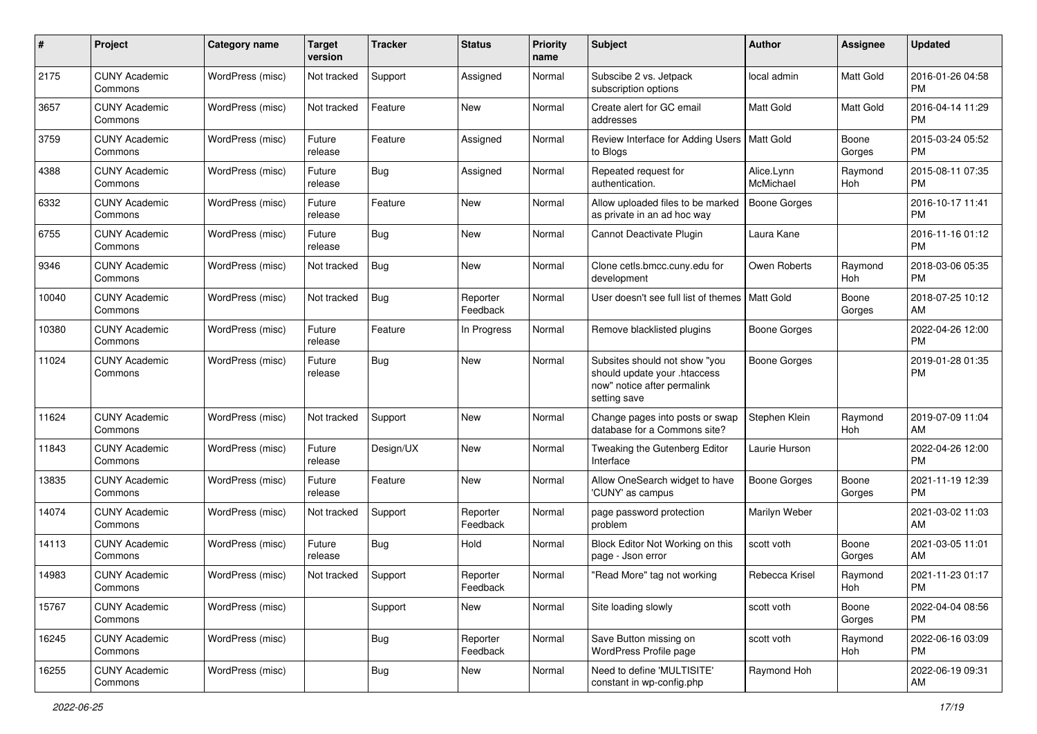| #     | Project                         | <b>Category name</b> | <b>Target</b><br>version | <b>Tracker</b> | <b>Status</b>        | <b>Priority</b><br>name | Subject                                                                                                      | Author                  | Assignee        | <b>Updated</b>                |
|-------|---------------------------------|----------------------|--------------------------|----------------|----------------------|-------------------------|--------------------------------------------------------------------------------------------------------------|-------------------------|-----------------|-------------------------------|
| 2175  | <b>CUNY Academic</b><br>Commons | WordPress (misc)     | Not tracked              | Support        | Assigned             | Normal                  | Subscibe 2 vs. Jetpack<br>subscription options                                                               | local admin             | Matt Gold       | 2016-01-26 04:58<br><b>PM</b> |
| 3657  | <b>CUNY Academic</b><br>Commons | WordPress (misc)     | Not tracked              | Feature        | New                  | Normal                  | Create alert for GC email<br>addresses                                                                       | <b>Matt Gold</b>        | Matt Gold       | 2016-04-14 11:29<br><b>PM</b> |
| 3759  | <b>CUNY Academic</b><br>Commons | WordPress (misc)     | Future<br>release        | Feature        | Assigned             | Normal                  | Review Interface for Adding Users   Matt Gold<br>to Blogs                                                    |                         | Boone<br>Gorges | 2015-03-24 05:52<br><b>PM</b> |
| 4388  | <b>CUNY Academic</b><br>Commons | WordPress (misc)     | Future<br>release        | <b>Bug</b>     | Assigned             | Normal                  | Repeated request for<br>authentication.                                                                      | Alice.Lynn<br>McMichael | Raymond<br>Hoh  | 2015-08-11 07:35<br><b>PM</b> |
| 6332  | <b>CUNY Academic</b><br>Commons | WordPress (misc)     | Future<br>release        | Feature        | New                  | Normal                  | Allow uploaded files to be marked<br>as private in an ad hoc way                                             | Boone Gorges            |                 | 2016-10-17 11:41<br><b>PM</b> |
| 6755  | <b>CUNY Academic</b><br>Commons | WordPress (misc)     | Future<br>release        | <b>Bug</b>     | <b>New</b>           | Normal                  | Cannot Deactivate Plugin                                                                                     | Laura Kane              |                 | 2016-11-16 01:12<br><b>PM</b> |
| 9346  | <b>CUNY Academic</b><br>Commons | WordPress (misc)     | Not tracked              | <b>Bug</b>     | New                  | Normal                  | Clone cetls.bmcc.cuny.edu for<br>development                                                                 | Owen Roberts            | Raymond<br>Hoh  | 2018-03-06 05:35<br><b>PM</b> |
| 10040 | <b>CUNY Academic</b><br>Commons | WordPress (misc)     | Not tracked              | <b>Bug</b>     | Reporter<br>Feedback | Normal                  | User doesn't see full list of themes   Matt Gold                                                             |                         | Boone<br>Gorges | 2018-07-25 10:12<br>AM        |
| 10380 | <b>CUNY Academic</b><br>Commons | WordPress (misc)     | Future<br>release        | Feature        | In Progress          | Normal                  | Remove blacklisted plugins                                                                                   | <b>Boone Gorges</b>     |                 | 2022-04-26 12:00<br><b>PM</b> |
| 11024 | <b>CUNY Academic</b><br>Commons | WordPress (misc)     | Future<br>release        | <b>Bug</b>     | New                  | Normal                  | Subsites should not show "you<br>should update your .htaccess<br>now" notice after permalink<br>setting save | <b>Boone Gorges</b>     |                 | 2019-01-28 01:35<br><b>PM</b> |
| 11624 | <b>CUNY Academic</b><br>Commons | WordPress (misc)     | Not tracked              | Support        | New                  | Normal                  | Change pages into posts or swap<br>database for a Commons site?                                              | Stephen Klein           | Raymond<br>Hoh  | 2019-07-09 11:04<br>AM        |
| 11843 | <b>CUNY Academic</b><br>Commons | WordPress (misc)     | Future<br>release        | Design/UX      | New                  | Normal                  | Tweaking the Gutenberg Editor<br>Interface                                                                   | Laurie Hurson           |                 | 2022-04-26 12:00<br><b>PM</b> |
| 13835 | <b>CUNY Academic</b><br>Commons | WordPress (misc)     | Future<br>release        | Feature        | New                  | Normal                  | Allow OneSearch widget to have<br>'CUNY' as campus                                                           | Boone Gorges            | Boone<br>Gorges | 2021-11-19 12:39<br><b>PM</b> |
| 14074 | <b>CUNY Academic</b><br>Commons | WordPress (misc)     | Not tracked              | Support        | Reporter<br>Feedback | Normal                  | page password protection<br>problem                                                                          | Marilyn Weber           |                 | 2021-03-02 11:03<br>AM        |
| 14113 | <b>CUNY Academic</b><br>Commons | WordPress (misc)     | Future<br>release        | <b>Bug</b>     | Hold                 | Normal                  | Block Editor Not Working on this<br>page - Json error                                                        | scott voth              | Boone<br>Gorges | 2021-03-05 11:01<br>AM        |
| 14983 | CUNY Academic<br>Commons        | WordPress (misc)     | Not tracked              | Support        | Reporter<br>Feedback | Normal                  | "Read More" tag not working                                                                                  | Rebecca Krisel          | Raymond<br>Hoh  | 2021-11-23 01:17<br>PM        |
| 15767 | <b>CUNY Academic</b><br>Commons | WordPress (misc)     |                          | Support        | New                  | Normal                  | Site loading slowly                                                                                          | scott voth              | Boone<br>Gorges | 2022-04-04 08:56<br><b>PM</b> |
| 16245 | <b>CUNY Academic</b><br>Commons | WordPress (misc)     |                          | <b>Bug</b>     | Reporter<br>Feedback | Normal                  | Save Button missing on<br>WordPress Profile page                                                             | scott voth              | Raymond<br>Hoh  | 2022-06-16 03:09<br>PM        |
| 16255 | <b>CUNY Academic</b><br>Commons | WordPress (misc)     |                          | <b>Bug</b>     | New                  | Normal                  | Need to define 'MULTISITE'<br>constant in wp-config.php                                                      | Raymond Hoh             |                 | 2022-06-19 09:31<br>AM        |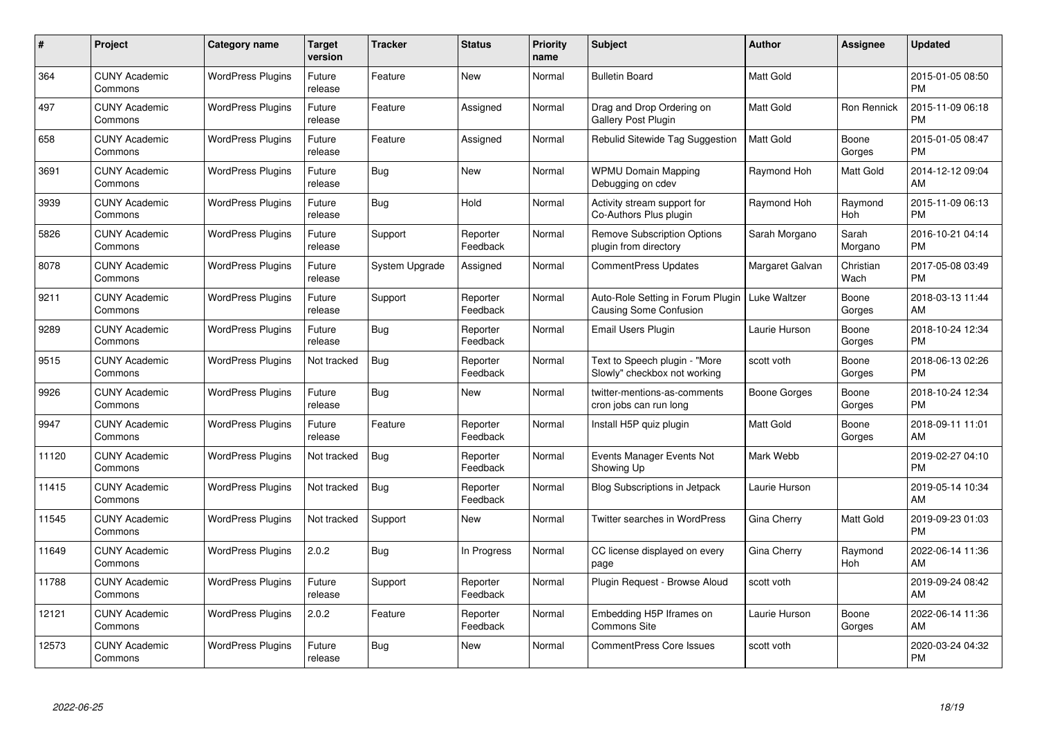| #     | Project                         | <b>Category name</b>     | <b>Target</b><br>version | <b>Tracker</b> | <b>Status</b>        | <b>Priority</b><br>name | <b>Subject</b>                                                     | <b>Author</b>       | <b>Assignee</b>   | <b>Updated</b>                |
|-------|---------------------------------|--------------------------|--------------------------|----------------|----------------------|-------------------------|--------------------------------------------------------------------|---------------------|-------------------|-------------------------------|
| 364   | <b>CUNY Academic</b><br>Commons | <b>WordPress Plugins</b> | Future<br>release        | Feature        | <b>New</b>           | Normal                  | <b>Bulletin Board</b>                                              | <b>Matt Gold</b>    |                   | 2015-01-05 08:50<br><b>PM</b> |
| 497   | <b>CUNY Academic</b><br>Commons | <b>WordPress Plugins</b> | Future<br>release        | Feature        | Assigned             | Normal                  | Drag and Drop Ordering on<br><b>Gallery Post Plugin</b>            | <b>Matt Gold</b>    | Ron Rennick       | 2015-11-09 06:18<br><b>PM</b> |
| 658   | <b>CUNY Academic</b><br>Commons | <b>WordPress Plugins</b> | Future<br>release        | Feature        | Assigned             | Normal                  | Rebulid Sitewide Tag Suggestion                                    | <b>Matt Gold</b>    | Boone<br>Gorges   | 2015-01-05 08:47<br><b>PM</b> |
| 3691  | <b>CUNY Academic</b><br>Commons | <b>WordPress Plugins</b> | Future<br>release        | Bug            | <b>New</b>           | Normal                  | <b>WPMU Domain Mapping</b><br>Debugging on cdev                    | Raymond Hoh         | Matt Gold         | 2014-12-12 09:04<br>AM        |
| 3939  | <b>CUNY Academic</b><br>Commons | <b>WordPress Plugins</b> | Future<br>release        | <b>Bug</b>     | Hold                 | Normal                  | Activity stream support for<br>Co-Authors Plus plugin              | Raymond Hoh         | Raymond<br>Hoh    | 2015-11-09 06:13<br><b>PM</b> |
| 5826  | <b>CUNY Academic</b><br>Commons | <b>WordPress Plugins</b> | Future<br>release        | Support        | Reporter<br>Feedback | Normal                  | <b>Remove Subscription Options</b><br>plugin from directory        | Sarah Morgano       | Sarah<br>Morgano  | 2016-10-21 04:14<br><b>PM</b> |
| 8078  | <b>CUNY Academic</b><br>Commons | <b>WordPress Plugins</b> | Future<br>release        | System Upgrade | Assigned             | Normal                  | CommentPress Updates                                               | Margaret Galvan     | Christian<br>Wach | 2017-05-08 03:49<br><b>PM</b> |
| 9211  | <b>CUNY Academic</b><br>Commons | <b>WordPress Plugins</b> | Future<br>release        | Support        | Reporter<br>Feedback | Normal                  | Auto-Role Setting in Forum Plugin<br><b>Causing Some Confusion</b> | <b>Luke Waltzer</b> | Boone<br>Gorges   | 2018-03-13 11:44<br>AM        |
| 9289  | <b>CUNY Academic</b><br>Commons | <b>WordPress Plugins</b> | Future<br>release        | Bug            | Reporter<br>Feedback | Normal                  | Email Users Plugin                                                 | Laurie Hurson       | Boone<br>Gorges   | 2018-10-24 12:34<br><b>PM</b> |
| 9515  | <b>CUNY Academic</b><br>Commons | <b>WordPress Plugins</b> | Not tracked              | Bug            | Reporter<br>Feedback | Normal                  | Text to Speech plugin - "More<br>Slowly" checkbox not working      | scott voth          | Boone<br>Gorges   | 2018-06-13 02:26<br><b>PM</b> |
| 9926  | <b>CUNY Academic</b><br>Commons | <b>WordPress Plugins</b> | Future<br>release        | <b>Bug</b>     | <b>New</b>           | Normal                  | twitter-mentions-as-comments<br>cron jobs can run long             | Boone Gorges        | Boone<br>Gorges   | 2018-10-24 12:34<br><b>PM</b> |
| 9947  | <b>CUNY Academic</b><br>Commons | <b>WordPress Plugins</b> | Future<br>release        | Feature        | Reporter<br>Feedback | Normal                  | Install H5P quiz plugin                                            | <b>Matt Gold</b>    | Boone<br>Gorges   | 2018-09-11 11:01<br>AM        |
| 11120 | <b>CUNY Academic</b><br>Commons | <b>WordPress Plugins</b> | Not tracked              | <b>Bug</b>     | Reporter<br>Feedback | Normal                  | Events Manager Events Not<br>Showing Up                            | Mark Webb           |                   | 2019-02-27 04:10<br><b>PM</b> |
| 11415 | <b>CUNY Academic</b><br>Commons | <b>WordPress Plugins</b> | Not tracked              | Bug            | Reporter<br>Feedback | Normal                  | <b>Blog Subscriptions in Jetpack</b>                               | Laurie Hurson       |                   | 2019-05-14 10:34<br>AM        |
| 11545 | <b>CUNY Academic</b><br>Commons | <b>WordPress Plugins</b> | Not tracked              | Support        | New                  | Normal                  | Twitter searches in WordPress                                      | Gina Cherry         | Matt Gold         | 2019-09-23 01:03<br><b>PM</b> |
| 11649 | <b>CUNY Academic</b><br>Commons | <b>WordPress Plugins</b> | 2.0.2                    | Bug            | In Progress          | Normal                  | CC license displayed on every<br>page                              | Gina Cherry         | Raymond<br>Hoh    | 2022-06-14 11:36<br>AM        |
| 11788 | <b>CUNY Academic</b><br>Commons | <b>WordPress Plugins</b> | Future<br>release        | Support        | Reporter<br>Feedback | Normal                  | Plugin Request - Browse Aloud                                      | scott voth          |                   | 2019-09-24 08:42<br>AM        |
| 12121 | <b>CUNY Academic</b><br>Commons | <b>WordPress Plugins</b> | 2.0.2                    | Feature        | Reporter<br>Feedback | Normal                  | Embedding H5P Iframes on<br>Commons Site                           | Laurie Hurson       | Boone<br>Gorges   | 2022-06-14 11:36<br>AM        |
| 12573 | <b>CUNY Academic</b><br>Commons | <b>WordPress Plugins</b> | Future<br>release        | <b>Bug</b>     | <b>New</b>           | Normal                  | CommentPress Core Issues                                           | scott voth          |                   | 2020-03-24 04:32<br>PM        |